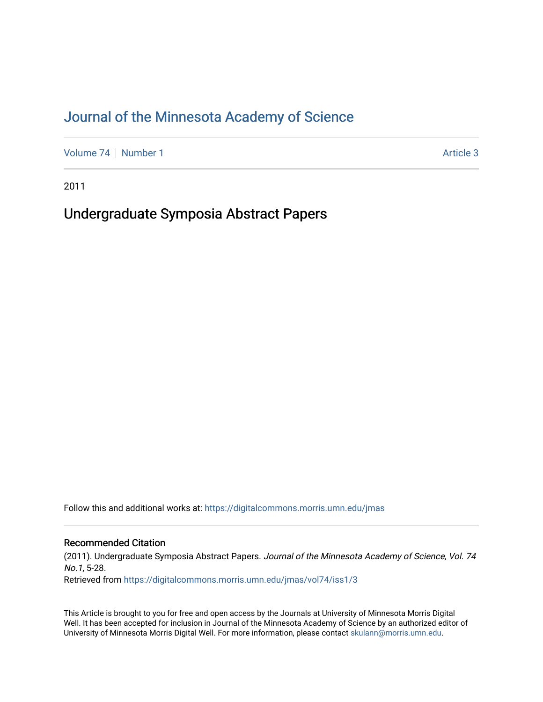# [Journal of the Minnesota Academy of Science](https://digitalcommons.morris.umn.edu/jmas)

[Volume 74](https://digitalcommons.morris.umn.edu/jmas/vol74) | [Number 1](https://digitalcommons.morris.umn.edu/jmas/vol74/iss1) Article 3

2011

# Undergraduate Symposia Abstract Papers

Follow this and additional works at: [https://digitalcommons.morris.umn.edu/jmas](https://digitalcommons.morris.umn.edu/jmas?utm_source=digitalcommons.morris.umn.edu%2Fjmas%2Fvol74%2Fiss1%2F3&utm_medium=PDF&utm_campaign=PDFCoverPages) 

# Recommended Citation

(2011). Undergraduate Symposia Abstract Papers. Journal of the Minnesota Academy of Science, Vol. 74 No.1, 5-28. Retrieved from [https://digitalcommons.morris.umn.edu/jmas/vol74/iss1/3](https://digitalcommons.morris.umn.edu/jmas/vol74/iss1/3?utm_source=digitalcommons.morris.umn.edu%2Fjmas%2Fvol74%2Fiss1%2F3&utm_medium=PDF&utm_campaign=PDFCoverPages)

This Article is brought to you for free and open access by the Journals at University of Minnesota Morris Digital Well. It has been accepted for inclusion in Journal of the Minnesota Academy of Science by an authorized editor of University of Minnesota Morris Digital Well. For more information, please contact [skulann@morris.umn.edu](mailto:skulann@morris.umn.edu).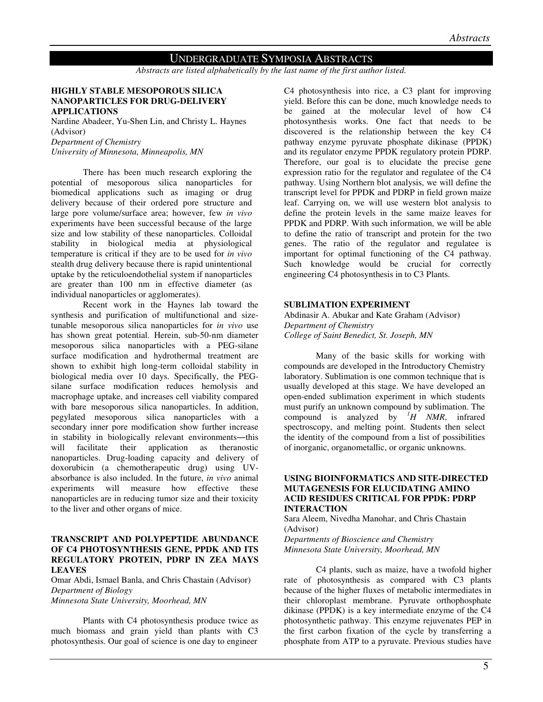# UNDERGRADUATE SYMPOSIA ABSTRACTS

*Abstracts are listed alphabetically by the last name of the first author listed.* 

#### **HIGHLY STABLE MESOPOROUS SILICA NANOPARTICLES FOR DRUG-DELIVERY APPLICATIONS**

Nardine Abadeer, Yu-Shen Lin, and Christy L. Haynes (Advisor) *Department of Chemistry* 

*University of Minnesota, Minneapolis, MN* 

There has been much research exploring the potential of mesoporous silica nanoparticles for biomedical applications such as imaging or drug delivery because of their ordered pore structure and large pore volume/surface area; however, few *in vivo* experiments have been successful because of the large size and low stability of these nanoparticles. Colloidal stability in biological media at physiological temperature is critical if they are to be used for *in vivo* stealth drug delivery because there is rapid unintentional uptake by the reticuloendothelial system if nanoparticles are greater than 100 nm in effective diameter (as individual nanoparticles or agglomerates).

 Recent work in the Haynes lab toward the synthesis and purification of multifunctional and sizetunable mesoporous silica nanoparticles for *in vivo* use has shown great potential. Herein, sub-50-nm diameter mesoporous silica nanoparticles with a PEG-silane surface modification and hydrothermal treatment are shown to exhibit high long-term colloidal stability in biological media over 10 days. Specifically, the PEGsilane surface modification reduces hemolysis and macrophage uptake, and increases cell viability compared with bare mesoporous silica nanoparticles. In addition, pegylated mesoporous silica nanoparticles with a secondary inner pore modification show further increase in stability in biologically relevant environments―this will facilitate their application as theranostic nanoparticles. Drug-loading capacity and delivery of doxorubicin (a chemotherapeutic drug) using UVabsorbance is also included. In the future, *in vivo* animal experiments will measure how effective these nanoparticles are in reducing tumor size and their toxicity to the liver and other organs of mice.

#### **TRANSCRIPT AND POLYPEPTIDE ABUNDANCE OF C4 PHOTOSYNTHESIS GENE, PPDK AND ITS REGULATORY PROTEIN, PDRP IN ZEA MAYS LEAVES**

Omar Abdi, Ismael Banla, and Chris Chastain (Advisor) *Department of Biology Minnesota State University, Moorhead, MN* 

 Plants with C4 photosynthesis produce twice as much biomass and grain yield than plants with C3 photosynthesis. Our goal of science is one day to engineer

C4 photosynthesis into rice, a C3 plant for improving yield. Before this can be done, much knowledge needs to be gained at the molecular level of how C4 photosynthesis works. One fact that needs to be discovered is the relationship between the key C4 pathway enzyme pyruvate phosphate dikinase (PPDK) and its regulator enzyme PPDK regulatory protein PDRP. Therefore, our goal is to elucidate the precise gene expression ratio for the regulator and regulatee of the C4 pathway. Using Northern blot analysis, we will define the transcript level for PPDK and PDRP in field grown maize leaf. Carrying on, we will use western blot analysis to define the protein levels in the same maize leaves for PPDK and PDRP. With such information, we will be able to define the ratio of transcript and protein for the two genes. The ratio of the regulator and regulatee is important for optimal functioning of the C4 pathway. Such knowledge would be crucial for correctly engineering C4 photosynthesis in to C3 Plants.

#### **SUBLIMATION EXPERIMENT**

Abdinasir A. Abukar and Kate Graham (Advisor) *Department of Chemistry College of Saint Benedict, St. Joseph, MN* 

Many of the basic skills for working with compounds are developed in the Introductory Chemistry laboratory. Sublimation is one common technique that is usually developed at this stage. We have developed an open-ended sublimation experiment in which students must purify an unknown compound by sublimation. The compound is analyzed by  ${}^{1}H$  NMR, infrared spectroscopy, and melting point. Students then select the identity of the compound from a list of possibilities of inorganic, organometallic, or organic unknowns.

# **USING BIOINFORMATICS AND SITE-DIRECTED MUTAGENESIS FOR ELUCIDATING AMINO ACID RESIDUES CRITICAL FOR PPDK: PDRP INTERACTION**

Sara Aleem, Nivedha Manohar, and Chris Chastain (Advisor)

*Departments of Bioscience and Chemistry Minnesota State University, Moorhead, MN* 

C4 plants, such as maize, have a twofold higher rate of photosynthesis as compared with C3 plants because of the higher fluxes of metabolic intermediates in their chloroplast membrane. Pyruvate orthophosphate dikinase (PPDK) is a key intermediate enzyme of the C4 photosynthetic pathway. This enzyme rejuvenates PEP in the first carbon fixation of the cycle by transferring a phosphate from ATP to a pyruvate. Previous studies have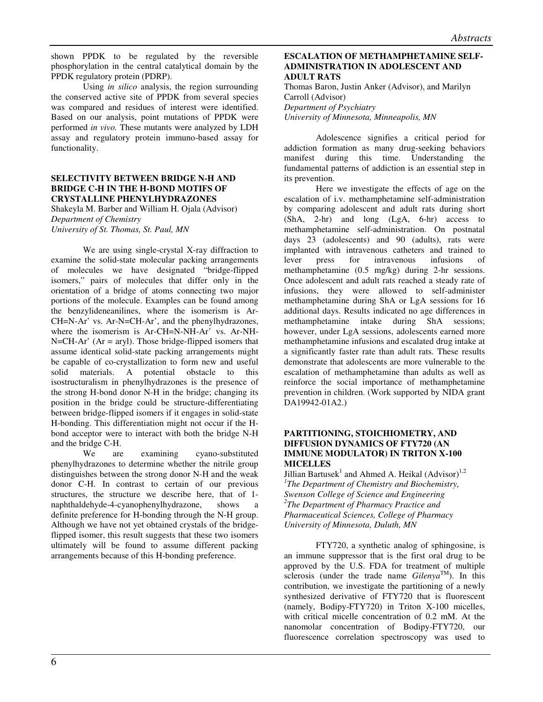shown PPDK to be regulated by the reversible phosphorylation in the central catalytical domain by the PPDK regulatory protein (PDRP).

Using *in silico* analysis, the region surrounding the conserved active site of PPDK from several species was compared and residues of interest were identified. Based on our analysis, point mutations of PPDK were performed *in vivo.* These mutants were analyzed by LDH assay and regulatory protein immuno-based assay for functionality.

# **SELECTIVITY BETWEEN BRIDGE N-H AND BRIDGE C-H IN THE H-BOND MOTIFS OF CRYSTALLINE PHENYLHYDRAZONES**

Shakeyla M. Barber and William H. Ojala (Advisor) *Department of Chemistry* 

*University of St. Thomas, St. Paul, MN* 

We are using single-crystal X-ray diffraction to examine the solid-state molecular packing arrangements of molecules we have designated "bridge-flipped isomers," pairs of molecules that differ only in the orientation of a bridge of atoms connecting two major portions of the molecule. Examples can be found among the benzylideneanilines, where the isomerism is Ar-CH=N-Ar' vs. Ar-N=CH-Ar', and the phenylhydrazones, where the isomerism is Ar-CH=N-NH-Ar' vs. Ar-NH- $N=CH-Ar'$  (Ar = aryl). Those bridge-flipped isomers that assume identical solid-state packing arrangements might be capable of co-crystallization to form new and useful solid materials. A potential obstacle to this isostructuralism in phenylhydrazones is the presence of the strong H-bond donor N-H in the bridge; changing its position in the bridge could be structure-differentiating between bridge-flipped isomers if it engages in solid-state H-bonding. This differentiation might not occur if the Hbond acceptor were to interact with both the bridge N-H and the bridge C-H.

We are examining cyano-substituted phenylhydrazones to determine whether the nitrile group distinguishes between the strong donor N-H and the weak donor C-H. In contrast to certain of our previous structures, the structure we describe here, that of 1 naphthaldehyde-4-cyanophenylhydrazone, shows a definite preference for H-bonding through the N-H group. Although we have not yet obtained crystals of the bridgeflipped isomer, this result suggests that these two isomers ultimately will be found to assume different packing arrangements because of this H-bonding preference.

# **ESCALATION OF METHAMPHETAMINE SELF-ADMINISTRATION IN ADOLESCENT AND ADULT RATS**

Thomas Baron, Justin Anker (Advisor), and Marilyn Carroll (Advisor) *Department of Psychiatry University of Minnesota, Minneapolis, MN* 

Adolescence signifies a critical period for addiction formation as many drug-seeking behaviors manifest during this time. Understanding the fundamental patterns of addiction is an essential step in its prevention.

Here we investigate the effects of age on the escalation of i.v. methamphetamine self-administration by comparing adolescent and adult rats during short (ShA, 2-hr) and long (LgA, 6-hr) access to methamphetamine self-administration. On postnatal days 23 (adolescents) and 90 (adults), rats were implanted with intravenous catheters and trained to lever press for intravenous infusions of methamphetamine (0.5 mg/kg) during 2-hr sessions. Once adolescent and adult rats reached a steady rate of infusions, they were allowed to self-administer methamphetamine during ShA or LgA sessions for 16 additional days. Results indicated no age differences in methamphetamine intake during ShA sessions; however, under LgA sessions, adolescents earned more methamphetamine infusions and escalated drug intake at a significantly faster rate than adult rats. These results demonstrate that adolescents are more vulnerable to the escalation of methamphetamine than adults as well as reinforce the social importance of methamphetamine prevention in children. (Work supported by NIDA grant DA19942-01A2.)

# **PARTITIONING, STOICHIOMETRY, AND DIFFUSION DYNAMICS OF FTY720 (AN IMMUNE MODULATOR) IN TRITON X-100 MICELLES**

Jillian Bartusek<sup>1</sup> and Ahmed A. Heikal  $(Adivisor)^{1,2}$ *1 The Department of Chemistry and Biochemistry, Swenson College of Science and Engineering 2 The Department of Pharmacy Practice and Pharmaceutical Sciences, College of Pharmacy University of Minnesota, Duluth, MN* 

FTY720, a synthetic analog of sphingosine, is an immune suppressor that is the first oral drug to be approved by the U.S. FDA for treatment of multiple sclerosis (under the trade name  $Gilenya^{TM}$ ). In this contribution, we investigate the partitioning of a newly synthesized derivative of FTY720 that is fluorescent (namely, Bodipy-FTY720) in Triton X-100 micelles, with critical micelle concentration of 0.2 mM. At the nanomolar concentration of Bodipy-FTY720, our fluorescence correlation spectroscopy was used to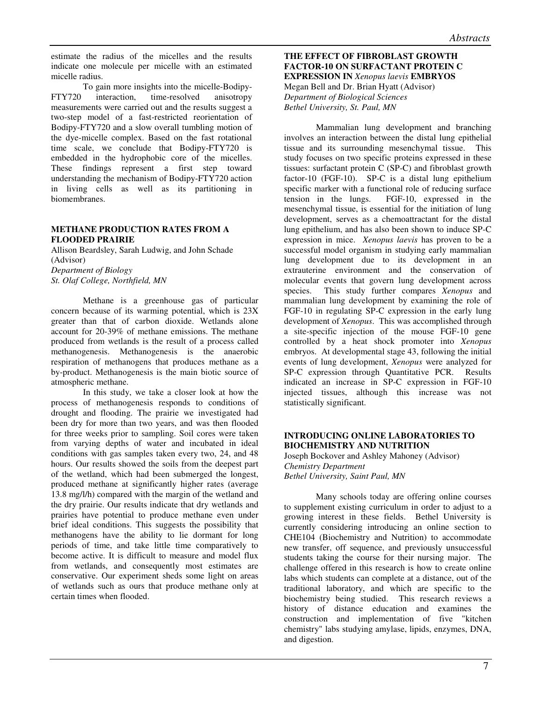estimate the radius of the micelles and the results indicate one molecule per micelle with an estimated micelle radius.

To gain more insights into the micelle-Bodipy-FTY720 interaction, time-resolved anisotropy measurements were carried out and the results suggest a two-step model of a fast-restricted reorientation of Bodipy-FTY720 and a slow overall tumbling motion of the dye-micelle complex. Based on the fast rotational time scale, we conclude that Bodipy-FTY720 is embedded in the hydrophobic core of the micelles. These findings represent a first step toward understanding the mechanism of Bodipy-FTY720 action in living cells as well as its partitioning in biomembranes.

## **METHANE PRODUCTION RATES FROM A FLOODED PRAIRIE**

Allison Beardsley, Sarah Ludwig, and John Schade (Advisor) *Department of Biology St. Olaf College, Northfield, MN* 

 Methane is a greenhouse gas of particular concern because of its warming potential, which is 23X greater than that of carbon dioxide. Wetlands alone account for 20-39% of methane emissions. The methane produced from wetlands is the result of a process called methanogenesis. Methanogenesis is the anaerobic respiration of methanogens that produces methane as a by-product. Methanogenesis is the main biotic source of atmospheric methane.

In this study, we take a closer look at how the process of methanogenesis responds to conditions of drought and flooding. The prairie we investigated had been dry for more than two years, and was then flooded for three weeks prior to sampling. Soil cores were taken from varying depths of water and incubated in ideal conditions with gas samples taken every two, 24, and 48 hours. Our results showed the soils from the deepest part of the wetland, which had been submerged the longest, produced methane at significantly higher rates (average 13.8 mg/l/h) compared with the margin of the wetland and the dry prairie. Our results indicate that dry wetlands and prairies have potential to produce methane even under brief ideal conditions. This suggests the possibility that methanogens have the ability to lie dormant for long periods of time, and take little time comparatively to become active. It is difficult to measure and model flux from wetlands, and consequently most estimates are conservative. Our experiment sheds some light on areas of wetlands such as ours that produce methane only at certain times when flooded.

# **THE EFFECT OF FIBROBLAST GROWTH FACTOR-10 ON SURFACTANT PROTEIN C EXPRESSION IN** *Xenopus laevis* **EMBRYOS** Megan Bell and Dr. Brian Hyatt (Advisor) *Department of Biological Sciences Bethel University, St. Paul, MN*

 Mammalian lung development and branching involves an interaction between the distal lung epithelial tissue and its surrounding mesenchymal tissue. This study focuses on two specific proteins expressed in these tissues: surfactant protein C (SP-C) and fibroblast growth factor-10 (FGF-10). SP-C is a distal lung epithelium specific marker with a functional role of reducing surface tension in the lungs. FGF-10, expressed in the mesenchymal tissue, is essential for the initiation of lung development, serves as a chemoattractant for the distal lung epithelium, and has also been shown to induce SP-C expression in mice. *Xenopus laevis* has proven to be a successful model organism in studying early mammalian lung development due to its development in an extrauterine environment and the conservation of molecular events that govern lung development across species. This study further compares *Xenopus* and mammalian lung development by examining the role of FGF-10 in regulating SP-C expression in the early lung development of *Xenopus*. This was accomplished through a site-specific injection of the mouse FGF-10 gene controlled by a heat shock promoter into *Xenopus* embryos. At developmental stage 43, following the initial events of lung development, *Xenopus* were analyzed for SP-C expression through Quantitative PCR. Results indicated an increase in SP-C expression in FGF-10 injected tissues, although this increase was not statistically significant.

# **INTRODUCING ONLINE LABORATORIES TO BIOCHEMISTRY AND NUTRITION**

Joseph Bockover and Ashley Mahoney (Advisor) *Chemistry Department Bethel University, Saint Paul, MN* 

 Many schools today are offering online courses to supplement existing curriculum in order to adjust to a growing interest in these fields. Bethel University is currently considering introducing an online section to CHE104 (Biochemistry and Nutrition) to accommodate new transfer, off sequence, and previously unsuccessful students taking the course for their nursing major. The challenge offered in this research is how to create online labs which students can complete at a distance, out of the traditional laboratory, and which are specific to the biochemistry being studied. This research reviews a history of distance education and examines the construction and implementation of five "kitchen chemistry" labs studying amylase, lipids, enzymes, DNA, and digestion.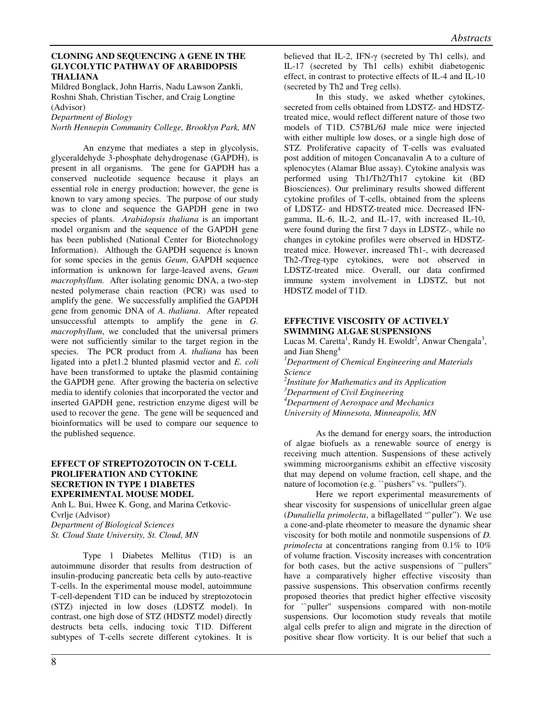## **CLONING AND SEQUENCING A GENE IN THE GLYCOLYTIC PATHWAY OF ARABIDOPSIS THALIANA**

Mildred Bonglack, John Harris, Nadu Lawson Zankli, Roshni Shah, Christian Tischer, and Craig Longtine (Advisor)

*Department of Biology* 

*North Hennepin Community College, Brooklyn Park, MN* 

 An enzyme that mediates a step in glycolysis, glyceraldehyde 3-phosphate dehydrogenase (GAPDH), is present in all organisms. The gene for GAPDH has a conserved nucleotide sequence because it plays an essential role in energy production; however, the gene is known to vary among species. The purpose of our study was to clone and sequence the GAPDH gene in two species of plants. *Arabidopsis thaliana* is an important model organism and the sequence of the GAPDH gene has been published (National Center for Biotechnology Information). Although the GAPDH sequence is known for some species in the genus *Geum*, GAPDH sequence information is unknown for large-leaved avens, *Geum macrophyllum.* After isolating genomic DNA, a two-step nested polymerase chain reaction (PCR) was used to amplify the gene. We successfully amplified the GAPDH gene from genomic DNA of *A. thaliana*. After repeated unsuccessful attempts to amplify the gene in *G. macrophyllum*, we concluded that the universal primers were not sufficiently similar to the target region in the species. The PCR product from *A. thaliana* has been ligated into a pJet1.2 blunted plasmid vector and *E. coli* have been transformed to uptake the plasmid containing the GAPDH gene*.* After growing the bacteria on selective media to identify colonies that incorporated the vector and inserted GAPDH gene, restriction enzyme digest will be used to recover the gene. The gene will be sequenced and bioinformatics will be used to compare our sequence to the published sequence.

# **EFFECT OF STREPTOZOTOCIN ON T-CELL PROLIFERATION AND CYTOKINE SECRETION IN TYPE 1 DIABETES EXPERIMENTAL MOUSE MODEL**

Anh L. Bui, Hwee K. Gong, and Marina Cetkovic-Cvrlje (Advisor) *Department of Biological Sciences St. Cloud State University, St. Cloud, MN* 

Type 1 Diabetes Mellitus (T1D) is an autoimmune disorder that results from destruction of insulin-producing pancreatic beta cells by auto-reactive T-cells. In the experimental mouse model, autoimmune T-cell-dependent T1D can be induced by streptozotocin (STZ) injected in low doses (LDSTZ model). In contrast, one high dose of STZ (HDSTZ model) directly destructs beta cells, inducing toxic T1D. Different subtypes of T-cells secrete different cytokines. It is

believed that IL-2, IFN-γ (secreted by Th1 cells), and IL-17 (secreted by Th1 cells) exhibit diabetogenic effect, in contrast to protective effects of IL-4 and IL-10 (secreted by Th2 and Treg cells).

In this study, we asked whether cytokines, secreted from cells obtained from LDSTZ- and HDSTZtreated mice, would reflect different nature of those two models of T1D. C57BL/6J male mice were injected with either multiple low doses, or a single high dose of STZ. Proliferative capacity of T-cells was evaluated post addition of mitogen Concanavalin A to a culture of splenocytes (Alamar Blue assay). Cytokine analysis was performed using Th1/Th2/Th17 cytokine kit (BD Biosciences). Our preliminary results showed different cytokine profiles of T-cells, obtained from the spleens of LDSTZ- and HDSTZ-treated mice. Decreased IFNgamma, IL-6, IL-2, and IL-17, with increased IL-10, were found during the first 7 days in LDSTZ-, while no changes in cytokine profiles were observed in HDSTZtreated mice. However, increased Th1-, with decreased Th2-/Treg-type cytokines, were not observed in LDSTZ-treated mice. Overall, our data confirmed immune system involvement in LDSTZ, but not HDSTZ model of T1D.

# **EFFECTIVE VISCOSITY OF ACTIVELY SWIMMING ALGAE SUSPENSIONS**

Lucas M. Caretta<sup>1</sup>, Randy H. Ewoldt<sup>2</sup>, Anwar Chengala<sup>3</sup>, and Jian Sheng<sup>4</sup> *<sup>1</sup>Department of Chemical Engineering and Materials Science 2 Institute for Mathematics and its Application <sup>3</sup>Department of Civil Engineering <sup>4</sup>Department of Aerospace and Mechanics* 

*University of Minnesota, Minneapolis, MN* 

As the demand for energy soars, the introduction of algae biofuels as a renewable source of energy is receiving much attention. Suspensions of these actively swimming microorganisms exhibit an effective viscosity that may depend on volume fraction, cell shape, and the nature of locomotion (e.g. "pushers" vs. "pullers").

Here we report experimental measurements of shear viscosity for suspensions of unicellular green algae (*Dunaliella primolecta*, a biflagellated "`puller"). We use a cone-and-plate rheometer to measure the dynamic shear viscosity for both motile and nonmotile suspensions of *D. primolecta* at concentrations ranging from 0.1% to 10% of volume fraction. Viscosity increases with concentration for both cases, but the active suspensions of ``pullers'' have a comparatively higher effective viscosity than passive suspensions. This observation confirms recently proposed theories that predict higher effective viscosity for ``puller'' suspensions compared with non-motile suspensions. Our locomotion study reveals that motile algal cells prefer to align and migrate in the direction of positive shear flow vorticity. It is our belief that such a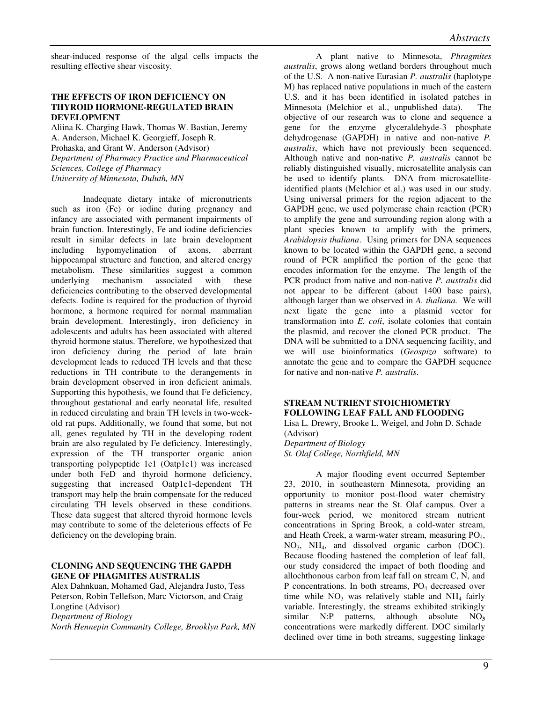shear-induced response of the algal cells impacts the resulting effective shear viscosity.

# **THE EFFECTS OF IRON DEFICIENCY ON THYROID HORMONE-REGULATED BRAIN DEVELOPMENT**

Aliina K. Charging Hawk, Thomas W. Bastian, Jeremy A. Anderson, Michael K. Georgieff, Joseph R. Prohaska, and Grant W. Anderson (Advisor) *Department of Pharmacy Practice and Pharmaceutical Sciences, College of Pharmacy University of Minnesota, Duluth, MN* 

Inadequate dietary intake of micronutrients such as iron (Fe) or iodine during pregnancy and infancy are associated with permanent impairments of brain function. Interestingly, Fe and iodine deficiencies result in similar defects in late brain development including hypomyelination of axons, aberrant hippocampal structure and function, and altered energy metabolism. These similarities suggest a common underlying mechanism associated with these deficiencies contributing to the observed developmental defects. Iodine is required for the production of thyroid hormone, a hormone required for normal mammalian brain development. Interestingly, iron deficiency in adolescents and adults has been associated with altered thyroid hormone status. Therefore, we hypothesized that iron deficiency during the period of late brain development leads to reduced TH levels and that these reductions in TH contribute to the derangements in brain development observed in iron deficient animals. Supporting this hypothesis, we found that Fe deficiency, throughout gestational and early neonatal life, resulted in reduced circulating and brain TH levels in two-weekold rat pups. Additionally, we found that some, but not all, genes regulated by TH in the developing rodent brain are also regulated by Fe deficiency. Interestingly, expression of the TH transporter organic anion transporting polypeptide 1c1 (Oatp1c1) was increased under both FeD and thyroid hormone deficiency, suggesting that increased Oatp1c1-dependent TH transport may help the brain compensate for the reduced circulating TH levels observed in these conditions. These data suggest that altered thyroid hormone levels may contribute to some of the deleterious effects of Fe deficiency on the developing brain.

# **CLONING AND SEQUENCING THE GAPDH GENE OF PHAGMITES AUSTRALIS**

Alex Dahnkuan, Mohamed Gad, Alejandra Justo, Tess Peterson, Robin Tellefson, Marc Victorson, and Craig Longtine (Advisor) *Department of Biology North Hennepin Community College, Brooklyn Park, MN* 

 A plant native to Minnesota, *Phragmites australis*, grows along wetland borders throughout much of the U.S. A non-native Eurasian *P. australis* (haplotype M) has replaced native populations in much of the eastern U.S. and it has been identified in isolated patches in Minnesota (Melchior et al., unpublished data). The objective of our research was to clone and sequence a gene for the enzyme glyceraldehyde-3 phosphate dehydrogenase (GAPDH) in native and non-native *P. australis*, which have not previously been sequenced. Although native and non-native *P. australis* cannot be reliably distinguished visually, microsatellite analysis can be used to identify plants. DNA from microsatelliteidentified plants (Melchior et al.) was used in our study. Using universal primers for the region adjacent to the GAPDH gene, we used polymerase chain reaction (PCR) to amplify the gene and surrounding region along with a plant species known to amplify with the primers, *Arabidopsis thaliana*. Using primers for DNA sequences known to be located within the GAPDH gene, a second round of PCR amplified the portion of the gene that encodes information for the enzyme. The length of the PCR product from native and non-native *P. australis* did not appear to be different (about 1400 base pairs), although larger than we observed in *A. thaliana.* We will next ligate the gene into a plasmid vector for transformation into *E. coli*, isolate colonies that contain the plasmid, and recover the cloned PCR product. The DNA will be submitted to a DNA sequencing facility, and we will use bioinformatics (*Geospiza* software) to annotate the gene and to compare the GAPDH sequence for native and non-native *P. australis*.

# **STREAM NUTRIENT STOICHIOMETRY FOLLOWING LEAF FALL AND FLOODING**

Lisa L. Drewry, Brooke L. Weigel, and John D. Schade (Advisor) *Department of Biology St. Olaf College, Northfield, MN* 

A major flooding event occurred September 23, 2010, in southeastern Minnesota, providing an opportunity to monitor post-flood water chemistry patterns in streams near the St. Olaf campus. Over a four-week period, we monitored stream nutrient concentrations in Spring Brook, a cold-water stream, and Heath Creek, a warm-water stream, measuring PO<sub>4</sub>, NO3, NH4, and dissolved organic carbon (DOC). Because flooding hastened the completion of leaf fall, our study considered the impact of both flooding and allochthonous carbon from leaf fall on stream C, N, and P concentrations. In both streams,  $PO<sub>4</sub>$  decreased over time while  $NO_3$  was relatively stable and  $NH_4$  fairly variable. Interestingly, the streams exhibited strikingly similar N:P patterns, although absolute NO**<sup>3</sup>** concentrations were markedly different. DOC similarly declined over time in both streams, suggesting linkage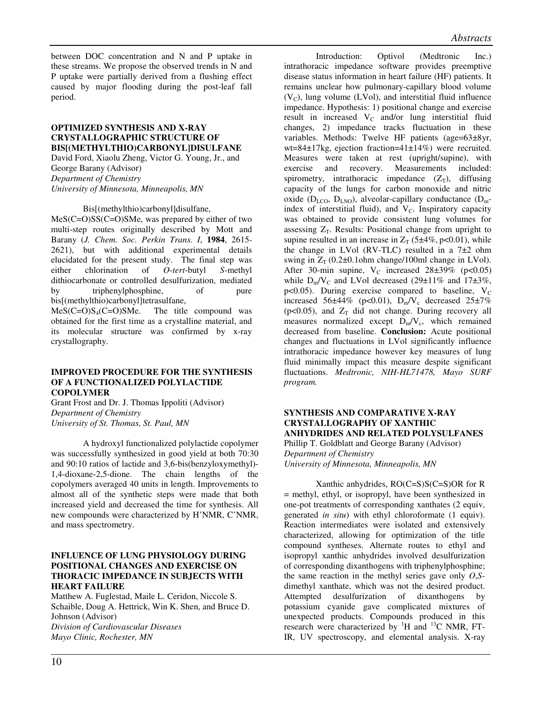between DOC concentration and N and P uptake in these streams. We propose the observed trends in N and P uptake were partially derived from a flushing effect caused by major flooding during the post-leaf fall period.

# **OPTIMIZED SYNTHESIS AND X-RAY CRYSTALLOGRAPHIC STRUCTURE OF BIS[(METHYLTHIO)CARBONYL]DISULFANE**

David Ford, Xiaolu Zheng, Victor G. Young, Jr., and George Barany (Advisor) *Department of Chemistry*

*University of Minnesota, Minneapolis, MN* 

Bis[(methylthio)carbonyl]disulfane,

MeS(C=O)SS(C=O)SMe, was prepared by either of two multi-step routes originally described by Mott and Barany (*J. Chem. Soc. Perkin Trans. I*, **1984**, 2615- 2621), but with additional experimental details elucidated for the present study. The final step was either chlorination of *O*-*tert*-butyl *S*-methyl dithiocarbonate or controlled desulfurization, mediated by triphenylphosphine, of pure bis[(methylthio)carbonyl]tetrasulfane,

 $MeS(C=O)S<sub>4</sub>(C=O)SMe$ . The title compound was obtained for the first time as a crystalline material, and its molecular structure was confirmed by x-ray crystallography.

## **IMPROVED PROCEDURE FOR THE SYNTHESIS OF A FUNCTIONALIZED POLYLACTIDE COPOLYMER**

Grant Frost and Dr. J. Thomas Ippoliti (Advisor) *Department of Chemistry University of St. Thomas, St. Paul, MN* 

 A hydroxyl functionalized polylactide copolymer was successfully synthesized in good yield at both 70:30 and 90:10 ratios of lactide and 3,6-bis(benzyloxymethyl)- 1,4-dioxane-2,5-dione. The chain lengths of the copolymers averaged 40 units in length. Improvements to almost all of the synthetic steps were made that both increased yield and decreased the time for synthesis. All new compounds were characterized by H'NMR, C'NMR, and mass spectrometry.

# **INFLUENCE OF LUNG PHYSIOLOGY DURING POSITIONAL CHANGES AND EXERCISE ON THORACIC IMPEDANCE IN SUBJECTS WITH HEART FAILURE**

Matthew A. Fuglestad, Maile L. Ceridon, Niccole S. Schaible, Doug A. Hettrick, Win K. Shen, and Bruce D. Johnson (Advisor) *Division of Cardiovascular Diseases Mayo Clinic, Rochester, MN* 

 Introduction: Optivol (Medtronic Inc.) intrathoracic impedance software provides preemptive disease status information in heart failure (HF) patients. It remains unclear how pulmonary-capillary blood volume  $(V<sub>C</sub>)$ , lung volume (LVol), and interstitial fluid influence impedance. Hypothesis: 1) positional change and exercise result in increased  $V_C$  and/or lung interstitial fluid changes, 2) impedance tracks fluctuation in these variables. Methods: Twelve HF patients (age=63±8yr, wt=84±17kg, ejection fraction=41±14%) were recruited. Measures were taken at rest (upright/supine), with exercise and recovery. Measurements included: recovery. Measurements included: spirometry, intrathoracic impedance  $(Z_T)$ , diffusing capacity of the lungs for carbon monoxide and nitric oxide ( $D_{\text{LCO}}$ ,  $D_{\text{LNO}}$ ), alveolar-capillary conductance ( $D_{\text{m}}$ index of interstitial fluid), and  $V_C$ . Inspiratory capacity was obtained to provide consistent lung volumes for assessing  $Z_T$ . Results: Positional change from upright to supine resulted in an increase in  $Z_T$  (5±4%, p<0.01), while the change in LVol (RV-TLC) resulted in a  $7\pm2$  ohm swing in  $Z_T$  (0.2 $\pm$ 0.1ohm change/100ml change in LVol). After 30-min supine,  $V_c$  increased 28±39% (p<0.05) while  $D_m/V_C$  and LVol decreased (29±11% and 17±3%, p<0.05). During exercise compared to baseline,  $V_C$ increased 56 $\pm$ 44% (p<0.01),  $D_m/V_c$  decreased 25 $\pm$ 7% ( $p<0.05$ ), and  $Z_T$  did not change. During recovery all measures normalized except  $D_m/V_c$ , which remained decreased from baseline. **Conclusion:** Acute positional changes and fluctuations in LVol significantly influence intrathoracic impedance however key measures of lung fluid minimally impact this measure despite significant fluctuations. *Medtronic, NIH-HL71478, Mayo SURF program.* 

## **SYNTHESIS AND COMPARATIVE X-RAY CRYSTALLOGRAPHY OF XANTHIC ANHYDRIDES AND RELATED POLYSULFANES**  Phillip T. Goldblatt and George Barany (Advisor)

*Department of Chemistry University of Minnesota, Minneapolis, MN* 

Xanthic anhydrides, RO(C=S)S(C=S)OR for R = methyl, ethyl, or isopropyl, have been synthesized in one-pot treatments of corresponding xanthates (2 equiv, generated *in situ*) with ethyl chloroformate (1 equiv). Reaction intermediates were isolated and extensively characterized, allowing for optimization of the title compound syntheses. Alternate routes to ethyl and isopropyl xanthic anhydrides involved desulfurization of corresponding dixanthogens with triphenylphosphine; the same reaction in the methyl series gave only *O*,*S*dimethyl xanthate, which was not the desired product. Attempted desulfurization of dixanthogens by potassium cyanide gave complicated mixtures of unexpected products. Compounds produced in this research were characterized by  ${}^{1}H$  and  ${}^{13}C$  NMR, FT-IR, UV spectroscopy, and elemental analysis. X-ray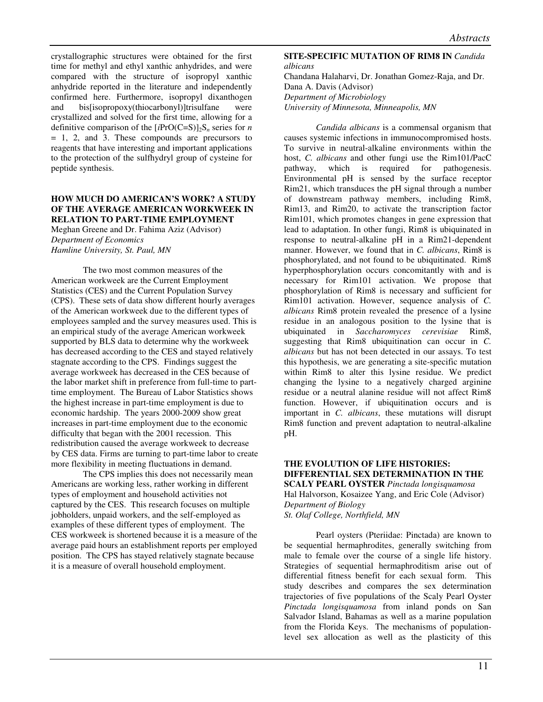crystallographic structures were obtained for the first time for methyl and ethyl xanthic anhydrides, and were compared with the structure of isopropyl xanthic anhydride reported in the literature and independently confirmed here. Furthermore, isopropyl dixanthogen and bis[isopropoxy(thiocarbonyl)]trisulfane were crystallized and solved for the first time, allowing for a definitive comparison of the  $[iPrO(C=S)]_2S_n$  series for *n* = 1, 2, and 3. These compounds are precursors to reagents that have interesting and important applications to the protection of the sulfhydryl group of cysteine for peptide synthesis.

#### **HOW MUCH DO AMERICAN'S WORK? A STUDY OF THE AVERAGE AMERICAN WORKWEEK IN RELATION TO PART-TIME EMPLOYMENT**

Meghan Greene and Dr. Fahima Aziz (Advisor) *Department of Economics Hamline University, St. Paul, MN* 

 The two most common measures of the American workweek are the Current Employment Statistics (CES) and the Current Population Survey (CPS). These sets of data show different hourly averages of the American workweek due to the different types of employees sampled and the survey measures used. This is an empirical study of the average American workweek supported by BLS data to determine why the workweek has decreased according to the CES and stayed relatively stagnate according to the CPS. Findings suggest the average workweek has decreased in the CES because of the labor market shift in preference from full-time to parttime employment. The Bureau of Labor Statistics shows the highest increase in part-time employment is due to economic hardship. The years 2000-2009 show great increases in part-time employment due to the economic difficulty that began with the 2001 recession. This redistribution caused the average workweek to decrease by CES data. Firms are turning to part-time labor to create more flexibility in meeting fluctuations in demand.

The CPS implies this does not necessarily mean Americans are working less, rather working in different types of employment and household activities not captured by the CES. This research focuses on multiple jobholders, unpaid workers, and the self-employed as examples of these different types of employment. The CES workweek is shortened because it is a measure of the average paid hours an establishment reports per employed position. The CPS has stayed relatively stagnate because it is a measure of overall household employment.

#### **SITE-SPECIFIC MUTATION OF RIM8 IN** *Candida albicans*

Chandana Halaharvi, Dr. Jonathan Gomez-Raja, and Dr. Dana A. Davis (Advisor) *Department of Microbiology University of Minnesota, Minneapolis, MN* 

 *Candida albicans* is a commensal organism that causes systemic infections in immunocompromised hosts. To survive in neutral-alkaline environments within the host, *C. albicans* and other fungi use the Rim101/PacC pathway, which is required for pathogenesis. Environmental pH is sensed by the surface receptor Rim21, which transduces the pH signal through a number of downstream pathway members, including Rim8, Rim13, and Rim20, to activate the transcription factor Rim101, which promotes changes in gene expression that lead to adaptation. In other fungi, Rim8 is ubiquinated in response to neutral-alkaline pH in a Rim21-dependent manner. However, we found that in *C. albicans*, Rim8 is phosphorylated, and not found to be ubiquitinated. Rim8 hyperphosphorylation occurs concomitantly with and is necessary for Rim101 activation. We propose that phosphorylation of Rim8 is necessary and sufficient for Rim101 activation. However, sequence analysis of *C. albicans* Rim8 protein revealed the presence of a lysine residue in an analogous position to the lysine that is ubiquinated in *Saccharomyces cerevisiae* Rim8, suggesting that Rim8 ubiquitination can occur in *C. albicans* but has not been detected in our assays. To test this hypothesis, we are generating a site-specific mutation within Rim8 to alter this lysine residue. We predict changing the lysine to a negatively charged arginine residue or a neutral alanine residue will not affect Rim8 function. However, if ubiquitination occurs and is important in *C. albicans*, these mutations will disrupt Rim8 function and prevent adaptation to neutral-alkaline pH.

## **THE EVOLUTION OF LIFE HISTORIES: DIFFERENTIAL SEX DETERMINATION IN THE SCALY PEARL OYSTER** *Pinctada longisquamosa*  Hal Halvorson, Kosaizee Yang, and Eric Cole (Advisor) *Department of Biology*

*St. Olaf College, Northfield, MN* 

 Pearl oysters (Pteriidae: Pinctada) are known to be sequential hermaphrodites, generally switching from male to female over the course of a single life history. Strategies of sequential hermaphroditism arise out of differential fitness benefit for each sexual form. This study describes and compares the sex determination trajectories of five populations of the Scaly Pearl Oyster *Pinctada longisquamosa* from inland ponds on San Salvador Island, Bahamas as well as a marine population from the Florida Keys. The mechanisms of populationlevel sex allocation as well as the plasticity of this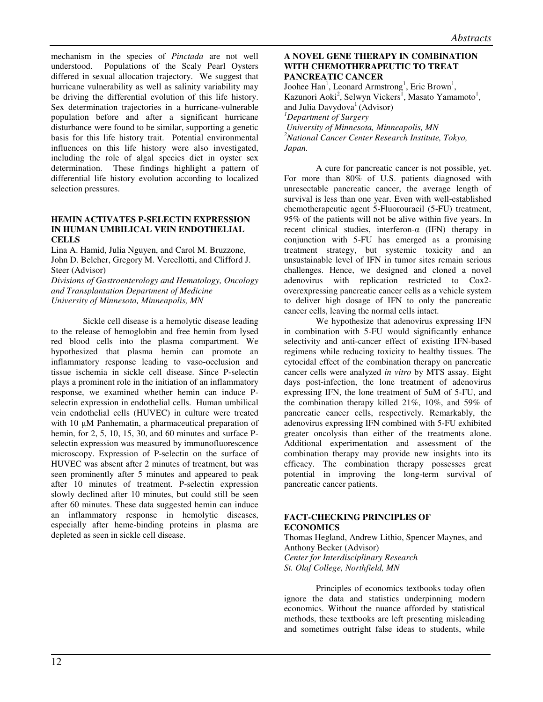mechanism in the species of *Pinctada* are not well understood. Populations of the Scaly Pearl Oysters differed in sexual allocation trajectory. We suggest that hurricane vulnerability as well as salinity variability may be driving the differential evolution of this life history. Sex determination trajectories in a hurricane-vulnerable population before and after a significant hurricane disturbance were found to be similar, supporting a genetic basis for this life history trait. Potential environmental influences on this life history were also investigated, including the role of algal species diet in oyster sex determination. These findings highlight a pattern of differential life history evolution according to localized selection pressures.

## **HEMIN ACTIVATES P-SELECTIN EXPRESSION IN HUMAN UMBILICAL VEIN ENDOTHELIAL CELLS**

Lina A. Hamid, Julia Nguyen, and Carol M. Bruzzone, John D. Belcher, Gregory M. Vercellotti, and Clifford J. Steer (Advisor) *Divisions of Gastroenterology and Hematology, Oncology and Transplantation Department of Medicine* 

*University of Minnesota, Minneapolis, MN* 

Sickle cell disease is a hemolytic disease leading to the release of hemoglobin and free hemin from lysed red blood cells into the plasma compartment. We hypothesized that plasma hemin can promote an inflammatory response leading to vaso-occlusion and tissue ischemia in sickle cell disease. Since P-selectin plays a prominent role in the initiation of an inflammatory response, we examined whether hemin can induce Pselectin expression in endothelial cells. Human umbilical vein endothelial cells (HUVEC) in culture were treated with 10  $\mu$ M Panhematin, a pharmaceutical preparation of hemin, for 2, 5, 10, 15, 30, and 60 minutes and surface Pselectin expression was measured by immunofluorescence microscopy. Expression of P-selectin on the surface of HUVEC was absent after 2 minutes of treatment, but was seen prominently after 5 minutes and appeared to peak after 10 minutes of treatment. P-selectin expression slowly declined after 10 minutes, but could still be seen after 60 minutes. These data suggested hemin can induce an inflammatory response in hemolytic diseases, especially after heme-binding proteins in plasma are depleted as seen in sickle cell disease.

# **A NOVEL GENE THERAPY IN COMBINATION WITH CHEMOTHERAPEUTIC TO TREAT PANCREATIC CANCER**

Joohee Han<sup>1</sup>, Leonard Armstrong<sup>1</sup>, Eric Brown<sup>1</sup>, Kazunori Aoki<sup>2</sup>, Selwyn Vickers<sup>1</sup>, Masato Yamamoto<sup>1</sup>, and Julia Davydova<sup>1</sup> (Advisor) *<sup>1</sup>Department of Surgery University of Minnesota, Minneapolis, MN <sup>2</sup>National Cancer Center Research Institute, Tokyo, Japan.* 

A cure for pancreatic cancer is not possible, yet. For more than 80% of U.S. patients diagnosed with unresectable pancreatic cancer, the average length of survival is less than one year. Even with well-established chemotherapeutic agent 5-Fluorouracil (5-FU) treatment, 95% of the patients will not be alive within five years. In recent clinical studies, interferon- $\alpha$  (IFN) therapy in conjunction with 5-FU has emerged as a promising treatment strategy, but systemic toxicity and an unsustainable level of IFN in tumor sites remain serious challenges. Hence, we designed and cloned a novel adenovirus with replication restricted to Cox2 overexpressing pancreatic cancer cells as a vehicle system to deliver high dosage of IFN to only the pancreatic cancer cells, leaving the normal cells intact.

We hypothesize that adenovirus expressing IFN in combination with 5-FU would significantly enhance selectivity and anti-cancer effect of existing IFN-based regimens while reducing toxicity to healthy tissues. The cytocidal effect of the combination therapy on pancreatic cancer cells were analyzed *in vitro* by MTS assay. Eight days post-infection, the lone treatment of adenovirus expressing IFN, the lone treatment of 5uM of 5-FU, and the combination therapy killed 21%, 10%, and 59% of pancreatic cancer cells, respectively. Remarkably, the adenovirus expressing IFN combined with 5-FU exhibited greater oncolysis than either of the treatments alone. Additional experimentation and assessment of the combination therapy may provide new insights into its efficacy. The combination therapy possesses great potential in improving the long-term survival of pancreatic cancer patients.

# **FACT-CHECKING PRINCIPLES OF ECONOMICS**

Thomas Hegland, Andrew Lithio, Spencer Maynes, and Anthony Becker (Advisor) *Center for Interdisciplinary Research St. Olaf College, Northfield, MN* 

Principles of economics textbooks today often ignore the data and statistics underpinning modern economics. Without the nuance afforded by statistical methods, these textbooks are left presenting misleading and sometimes outright false ideas to students, while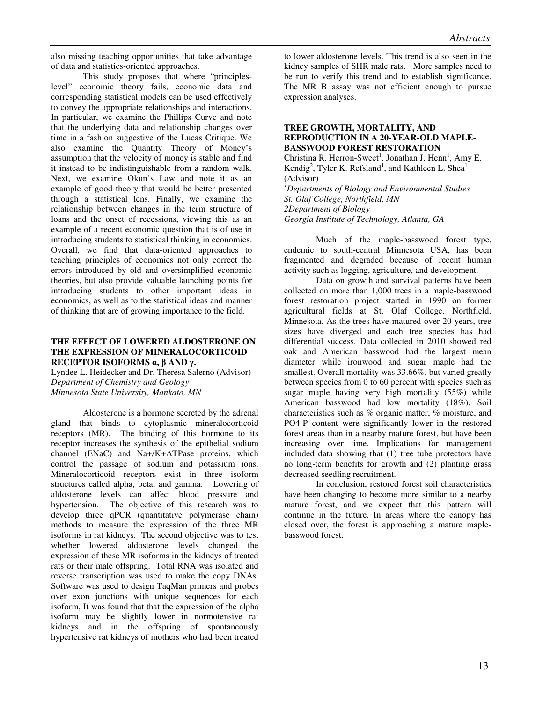also missing teaching opportunities that take advantage of data and statistics-oriented approaches.

This study proposes that where "principleslevel" economic theory fails, economic data and corresponding statistical models can be used effectively to convey the appropriate relationships and interactions. In particular, we examine the Phillips Curve and note that the underlying data and relationship changes over time in a fashion suggestive of the Lucas Critique. We also examine the Quantity Theory of Money's assumption that the velocity of money is stable and find it instead to be indistinguishable from a random walk. Next, we examine Okun's Law and note it as an example of good theory that would be better presented through a statistical lens. Finally, we examine the relationship between changes in the term structure of loans and the onset of recessions, viewing this as an example of a recent economic question that is of use in introducing students to statistical thinking in economics. Overall, we find that data-oriented approaches to teaching principles of economics not only correct the errors introduced by old and oversimplified economic theories, but also provide valuable launching points for introducing students to other important ideas in economics, as well as to the statistical ideas and manner of thinking that are of growing importance to the field.

# **THE EFFECT OF LOWERED ALDOSTERONE ON THE EXPRESSION OF MINERALOCORTICOID RECEPTOR ISOFORMS** α**,** β **AND** γ**.**

Lyndee L. Heidecker and Dr. Theresa Salerno (Advisor) *Department of Chemistry and Geology Minnesota State University, Mankato, MN* 

 Aldosterone is a hormone secreted by the adrenal gland that binds to cytoplasmic mineralocorticoid receptors (MR). The binding of this hormone to its receptor increases the synthesis of the epithelial sodium channel (ENaC) and Na+/K+ATPase proteins, which control the passage of sodium and potassium ions. Mineralocorticoid receptors exist in three isoform structures called alpha, beta, and gamma. Lowering of aldosterone levels can affect blood pressure and hypertension. The objective of this research was to develop three qPCR (quantitative polymerase chain) methods to measure the expression of the three MR isoforms in rat kidneys. The second objective was to test whether lowered aldosterone levels changed the expression of these MR isoforms in the kidneys of treated rats or their male offspring. Total RNA was isolated and reverse transcription was used to make the copy DNAs. Software was used to design TaqMan primers and probes over exon junctions with unique sequences for each isoform, It was found that that the expression of the alpha isoform may be slightly lower in normotensive rat kidneys and in the offspring of spontaneously hypertensive rat kidneys of mothers who had been treated

to lower aldosterone levels. This trend is also seen in the kidney samples of SHR male rats. More samples need to be run to verify this trend and to establish significance. The MR B assay was not efficient enough to pursue expression analyses.

## **TREE GROWTH, MORTALITY, AND REPRODUCTION IN A 20-YEAR-OLD MAPLE-BASSWOOD FOREST RESTORATION**

Christina R. Herron-Sweet<sup>1</sup>, Jonathan J. Henn<sup>1</sup>, Amy E. Kendig<sup>2</sup>, Tyler K. Refsland<sup>1</sup>, and Kathleen L. Shea<sup>1</sup> (Advisor)

*<sup>1</sup>Departments of Biology and Environmental Studies St. Olaf College, Northfield, MN 2Department of Biology Georgia Institute of Technology, Atlanta, GA* 

Much of the maple-basswood forest type, endemic to south-central Minnesota USA, has been fragmented and degraded because of recent human activity such as logging, agriculture, and development.

Data on growth and survival patterns have been collected on more than 1,000 trees in a maple-basswood forest restoration project started in 1990 on former agricultural fields at St. Olaf College, Northfield, Minnesota. As the trees have matured over 20 years, tree sizes have diverged and each tree species has had differential success. Data collected in 2010 showed red oak and American basswood had the largest mean diameter while ironwood and sugar maple had the smallest. Overall mortality was 33.66%, but varied greatly between species from 0 to 60 percent with species such as sugar maple having very high mortality (55%) while American basswood had low mortality (18%). Soil characteristics such as % organic matter, % moisture, and PO4-P content were significantly lower in the restored forest areas than in a nearby mature forest, but have been increasing over time. Implications for management included data showing that (1) tree tube protectors have no long-term benefits for growth and (2) planting grass decreased seedling recruitment.

In conclusion, restored forest soil characteristics have been changing to become more similar to a nearby mature forest, and we expect that this pattern will continue in the future. In areas where the canopy has closed over, the forest is approaching a mature maplebasswood forest.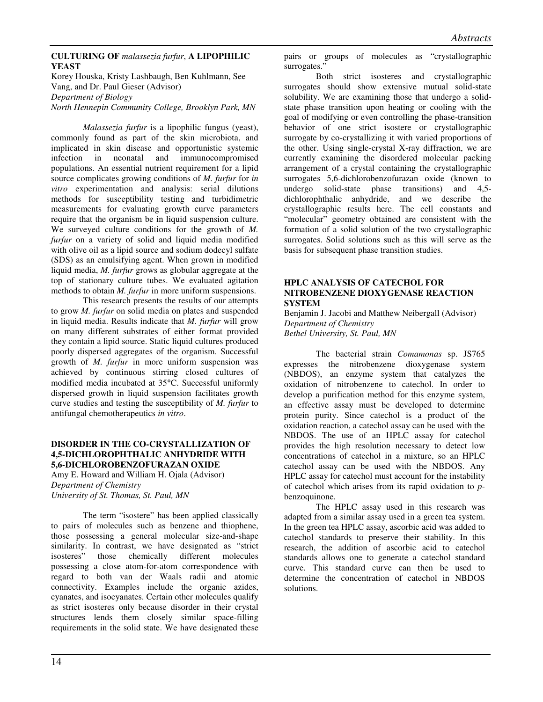# **CULTURING OF** *malassezia furfur*, **A LIPOPHILIC YEAST**

Korey Houska, Kristy Lashbaugh, Ben Kuhlmann, See Vang, and Dr. Paul Gieser (Advisor) *Department of Biology North Hennepin Community College, Brooklyn Park, MN*

*Malassezia furfur* is a lipophilic fungus (yeast), commonly found as part of the skin microbiota, and implicated in skin disease and opportunistic systemic infection in neonatal and immunocompromised populations. An essential nutrient requirement for a lipid source complicates growing conditions of *M. furfur* for *in vitro* experimentation and analysis: serial dilutions methods for susceptibility testing and turbidimetric measurements for evaluating growth curve parameters require that the organism be in liquid suspension culture. We surveyed culture conditions for the growth of *M. furfur* on a variety of solid and liquid media modified with olive oil as a lipid source and sodium dodecyl sulfate (SDS) as an emulsifying agent. When grown in modified liquid media, *M. furfur* grows as globular aggregate at the top of stationary culture tubes. We evaluated agitation methods to obtain *M. furfur* in more uniform suspensions.

This research presents the results of our attempts to grow *M. furfur* on solid media on plates and suspended in liquid media. Results indicate that *M. furfur* will grow on many different substrates of either format provided they contain a lipid source. Static liquid cultures produced poorly dispersed aggregates of the organism. Successful growth of *M. furfur* in more uniform suspension was achieved by continuous stirring closed cultures of modified media incubated at 35°C. Successful uniformly dispersed growth in liquid suspension facilitates growth curve studies and testing the susceptibility of *M. furfur* to antifungal chemotherapeutics *in vitro*.

# **DISORDER IN THE CO-CRYSTALLIZATION OF 4,5-DICHLOROPHTHALIC ANHYDRIDE WITH 5,6-DICHLOROBENZOFURAZAN OXIDE**

Amy E. Howard and William H. Ojala (Advisor) *Department of Chemistry University of St. Thomas, St. Paul, MN* 

The term "isostere" has been applied classically to pairs of molecules such as benzene and thiophene, those possessing a general molecular size-and-shape similarity. In contrast, we have designated as "strict isosteres" those chemically different molecules possessing a close atom-for-atom correspondence with regard to both van der Waals radii and atomic connectivity. Examples include the organic azides, cyanates, and isocyanates. Certain other molecules qualify as strict isosteres only because disorder in their crystal structures lends them closely similar space-filling requirements in the solid state. We have designated these

pairs or groups of molecules as "crystallographic surrogates.'

Both strict isosteres and crystallographic surrogates should show extensive mutual solid-state solubility. We are examining those that undergo a solidstate phase transition upon heating or cooling with the goal of modifying or even controlling the phase-transition behavior of one strict isostere or crystallographic surrogate by co-crystallizing it with varied proportions of the other. Using single-crystal X-ray diffraction, we are currently examining the disordered molecular packing arrangement of a crystal containing the crystallographic surrogates 5,6-dichlorobenzofurazan oxide (known to undergo solid-state phase transitions) and 4,5 dichlorophthalic anhydride, and we describe the crystallographic results here. The cell constants and "molecular" geometry obtained are consistent with the formation of a solid solution of the two crystallographic surrogates. Solid solutions such as this will serve as the basis for subsequent phase transition studies.

# **HPLC ANALYSIS OF CATECHOL FOR NITROBENZENE DIOXYGENASE REACTION SYSTEM**

Benjamin J. Jacobi and Matthew Neibergall (Advisor) *Department of Chemistry Bethel University, St. Paul, MN* 

 The bacterial strain *Comamonas* sp. JS765 expresses the nitrobenzene dioxygenase system (NBDOS), an enzyme system that catalyzes the oxidation of nitrobenzene to catechol. In order to develop a purification method for this enzyme system, an effective assay must be developed to determine protein purity. Since catechol is a product of the oxidation reaction, a catechol assay can be used with the NBDOS. The use of an HPLC assay for catechol provides the high resolution necessary to detect low concentrations of catechol in a mixture, so an HPLC catechol assay can be used with the NBDOS. Any HPLC assay for catechol must account for the instability of catechol which arises from its rapid oxidation to *p*benzoquinone.

The HPLC assay used in this research was adapted from a similar assay used in a green tea system. In the green tea HPLC assay, ascorbic acid was added to catechol standards to preserve their stability. In this research, the addition of ascorbic acid to catechol standards allows one to generate a catechol standard curve. This standard curve can then be used to determine the concentration of catechol in NBDOS solutions.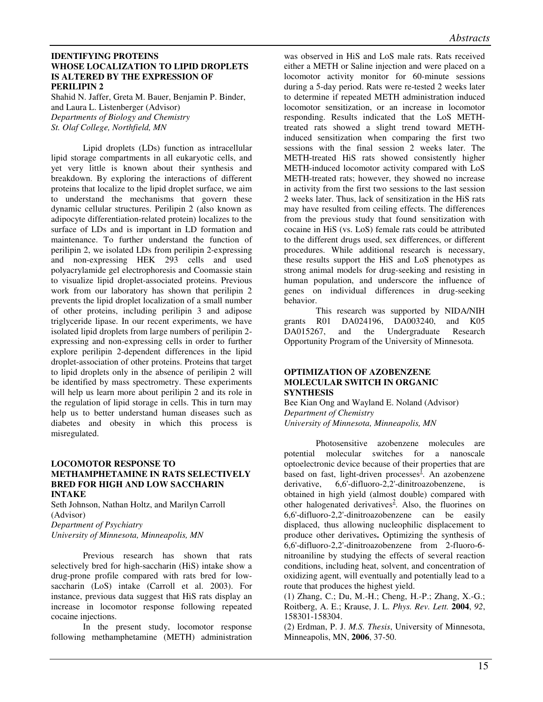#### **IDENTIFYING PROTEINS WHOSE LOCALIZATION TO LIPID DROPLETS IS ALTERED BY THE EXPRESSION OF PERILIPIN 2**

Shahid N. Jaffer, Greta M. Bauer, Benjamin P. Binder, and Laura L. Listenberger (Advisor) *Departments of Biology and Chemistry St. Olaf College, Northfield, MN* 

Lipid droplets (LDs) function as intracellular lipid storage compartments in all eukaryotic cells, and yet very little is known about their synthesis and breakdown. By exploring the interactions of different proteins that localize to the lipid droplet surface, we aim to understand the mechanisms that govern these dynamic cellular structures. Perilipin 2 (also known as adipocyte differentiation-related protein) localizes to the surface of LDs and is important in LD formation and maintenance. To further understand the function of perilipin 2, we isolated LDs from perilipin 2-expressing and non-expressing HEK 293 cells and used polyacrylamide gel electrophoresis and Coomassie stain to visualize lipid droplet-associated proteins. Previous work from our laboratory has shown that perilipin 2 prevents the lipid droplet localization of a small number of other proteins, including perilipin 3 and adipose triglyceride lipase. In our recent experiments, we have isolated lipid droplets from large numbers of perilipin 2 expressing and non-expressing cells in order to further explore perilipin 2-dependent differences in the lipid droplet-association of other proteins. Proteins that target to lipid droplets only in the absence of perilipin 2 will be identified by mass spectrometry. These experiments will help us learn more about perilipin 2 and its role in the regulation of lipid storage in cells. This in turn may help us to better understand human diseases such as diabetes and obesity in which this process is misregulated.

#### **LOCOMOTOR RESPONSE TO METHAMPHETAMINE IN RATS SELECTIVELY BRED FOR HIGH AND LOW SACCHARIN INTAKE**

Seth Johnson, Nathan Holtz, and Marilyn Carroll (Advisor) *Department of Psychiatry* 

*University of Minnesota, Minneapolis, MN* 

Previous research has shown that rats selectively bred for high-saccharin (HiS) intake show a drug-prone profile compared with rats bred for lowsaccharin (LoS) intake (Carroll et al. 2003). For instance, previous data suggest that HiS rats display an increase in locomotor response following repeated cocaine injections.

In the present study, locomotor response following methamphetamine (METH) administration

was observed in HiS and LoS male rats. Rats received either a METH or Saline injection and were placed on a locomotor activity monitor for 60-minute sessions during a 5-day period. Rats were re-tested 2 weeks later to determine if repeated METH administration induced locomotor sensitization, or an increase in locomotor responding. Results indicated that the LoS METHtreated rats showed a slight trend toward METHinduced sensitization when comparing the first two sessions with the final session 2 weeks later. The METH-treated HiS rats showed consistently higher METH-induced locomotor activity compared with LoS METH-treated rats; however, they showed no increase in activity from the first two sessions to the last session 2 weeks later. Thus, lack of sensitization in the HiS rats may have resulted from ceiling effects. The differences from the previous study that found sensitization with cocaine in HiS (vs. LoS) female rats could be attributed to the different drugs used, sex differences, or different procedures. While additional research is necessary, these results support the HiS and LoS phenotypes as strong animal models for drug-seeking and resisting in human population, and underscore the influence of genes on individual differences in drug-seeking behavior.

This research was supported by NIDA/NIH<br>R01 DA024196. DA003240. and K05 grants R01 DA024196, DA003240, DA015267, and the Undergraduate Research Opportunity Program of the University of Minnesota.

#### **OPTIMIZATION OF AZOBENZENE MOLECULAR SWITCH IN ORGANIC SYNTHESIS**

Bee Kian Ong and Wayland E. Noland (Advisor) *Department of Chemistry University of Minnesota, Minneapolis, MN* 

Photosensitive azobenzene molecules are potential molecular switches for a nanoscale optoelectronic device because of their properties that are based on fast, light-driven processes<sup> $I$ </sup>. An azobenzene derivative, 6,6'-difluoro-2,2'-dinitroazobenzene, is obtained in high yield (almost double) compared with other halogenated derivatives<sup>2</sup>. Also, the fluorines on 6,6'-difluoro-2,2'-dinitroazobenzene can be easily displaced, thus allowing nucleophilic displacement to produce other derivatives**.** Optimizing the synthesis of 6,6'-difluoro-2,2'-dinitroazobenzene from 2-fluoro-6 nitroaniline by studying the effects of several reaction conditions, including heat, solvent, and concentration of oxidizing agent, will eventually and potentially lead to a route that produces the highest yield.

(1) Zhang, C.; Du, M.-H.; Cheng, H.-P.; Zhang, X.-G.; Roitberg, A. E.; Krause, J. L. *Phys. Rev. Lett.* **2004**, *92*, 158301-158304.

(2) Erdman, P. J. *M.S. Thesis*, University of Minnesota, Minneapolis, MN, **2006**, 37-50.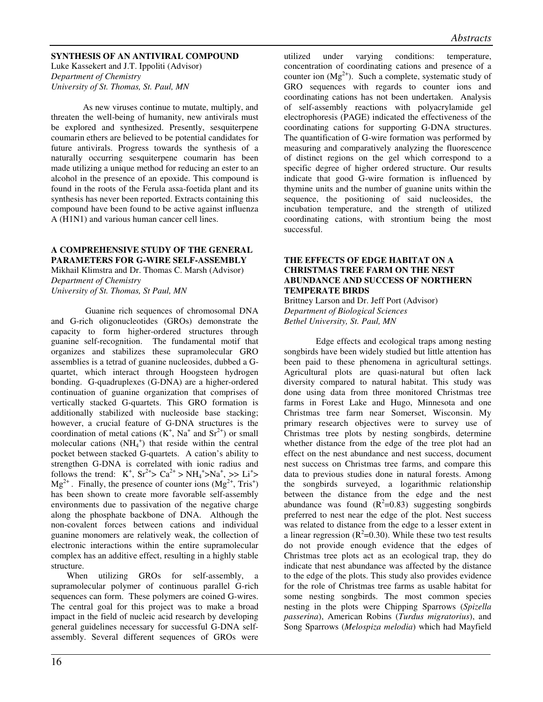# **SYNTHESIS OF AN ANTIVIRAL COMPOUND**

Luke Kassekert and J.T. Ippoliti (Advisor) *Department of Chemistry University of St. Thomas, St. Paul, MN* 

 As new viruses continue to mutate, multiply, and threaten the well-being of humanity, new antivirals must be explored and synthesized. Presently, sesquiterpene coumarin ethers are believed to be potential candidates for future antivirals. Progress towards the synthesis of a naturally occurring sesquiterpene coumarin has been made utilizing a unique method for reducing an ester to an alcohol in the presence of an epoxide. This compound is found in the roots of the Ferula assa-foetida plant and its synthesis has never been reported. Extracts containing this compound have been found to be active against influenza A (H1N1) and various human cancer cell lines.

# **A COMPREHENSIVE STUDY OF THE GENERAL PARAMETERS FOR G-WIRE SELF-ASSEMBLY**

Mikhail Klimstra and Dr. Thomas C. Marsh (Advisor) *Department of Chemistry University of St. Thomas, St Paul, MN* 

 Guanine rich sequences of chromosomal DNA and G-rich oligonucleotides (GROs) demonstrate the capacity to form higher-ordered structures through guanine self-recognition. The fundamental motif that organizes and stabilizes these supramolecular GRO assemblies is a tetrad of guanine nucleosides, dubbed a Gquartet, which interact through Hoogsteen hydrogen bonding. G-quadruplexes (G-DNA) are a higher-ordered continuation of guanine organization that comprises of vertically stacked G-quartets. This GRO formation is additionally stabilized with nucleoside base stacking; however, a crucial feature of G-DNA structures is the coordination of metal cations  $(K^+, Na^+$  and  $Sr^{2+})$  or small molecular cations  $(NH_4^+)$  that reside within the central pocket between stacked G-quartets. A cation's ability to strengthen G-DNA is correlated with ionic radius and follows the trend:  $K^+$ ,  $Sr^{2+} > Ca^{2+} > NH_4^+ > Na^+$ ,  $>> Li^+ >$  $Mg^{2+}$ . Finally, the presence of counter ions  $(Mg^{2+}, Tris^{+})$ has been shown to create more favorable self-assembly environments due to passivation of the negative charge along the phosphate backbone of DNA. Although the non-covalent forces between cations and individual guanine monomers are relatively weak, the collection of electronic interactions within the entire supramolecular complex has an additive effect, resulting in a highly stable structure.

 When utilizing GROs for self-assembly, a supramolecular polymer of continuous parallel G-rich sequences can form. These polymers are coined G-wires. The central goal for this project was to make a broad impact in the field of nucleic acid research by developing general guidelines necessary for successful G-DNA selfassembly. Several different sequences of GROs were

utilized under varying conditions: temperature, concentration of coordinating cations and presence of a counter ion  $(Mg<sup>2+</sup>)$ . Such a complete, systematic study of GRO sequences with regards to counter ions and coordinating cations has not been undertaken. Analysis of self-assembly reactions with polyacrylamide gel electrophoresis (PAGE) indicated the effectiveness of the coordinating cations for supporting G-DNA structures. The quantification of G-wire formation was performed by measuring and comparatively analyzing the fluorescence of distinct regions on the gel which correspond to a specific degree of higher ordered structure. Our results indicate that good G-wire formation is influenced by thymine units and the number of guanine units within the sequence, the positioning of said nucleosides, the incubation temperature, and the strength of utilized coordinating cations, with strontium being the most successful.

# **THE EFFECTS OF EDGE HABITAT ON A CHRISTMAS TREE FARM ON THE NEST ABUNDANCE AND SUCCESS OF NORTHERN TEMPERATE BIRDS**

Brittney Larson and Dr. Jeff Port (Advisor) *Department of Biological Sciences Bethel University, St. Paul, MN* 

 Edge effects and ecological traps among nesting songbirds have been widely studied but little attention has been paid to these phenomena in agricultural settings. Agricultural plots are quasi-natural but often lack diversity compared to natural habitat. This study was done using data from three monitored Christmas tree farms in Forest Lake and Hugo, Minnesota and one Christmas tree farm near Somerset, Wisconsin. My primary research objectives were to survey use of Christmas tree plots by nesting songbirds, determine whether distance from the edge of the tree plot had an effect on the nest abundance and nest success, document nest success on Christmas tree farms, and compare this data to previous studies done in natural forests. Among the songbirds surveyed, a logarithmic relationship between the distance from the edge and the nest abundance was found  $(R^2=0.83)$  suggesting songbirds preferred to nest near the edge of the plot. Nest success was related to distance from the edge to a lesser extent in a linear regression ( $R^2$ =0.30). While these two test results do not provide enough evidence that the edges of Christmas tree plots act as an ecological trap, they do indicate that nest abundance was affected by the distance to the edge of the plots. This study also provides evidence for the role of Christmas tree farms as usable habitat for some nesting songbirds. The most common species nesting in the plots were Chipping Sparrows (*Spizella passerina*), American Robins (*Turdus migratorius*), and Song Sparrows (*Melospiza melodia*) which had Mayfield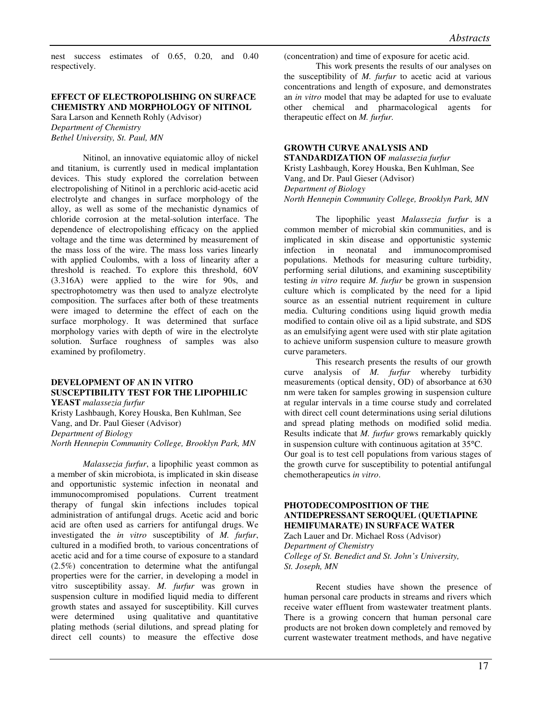nest success estimates of 0.65, 0.20, and 0.40 respectively.

# **EFFECT OF ELECTROPOLISHING ON SURFACE CHEMISTRY AND MORPHOLOGY OF NITINOL**

Sara Larson and Kenneth Rohly (Advisor) *Department of Chemistry Bethel University, St. Paul, MN* 

Nitinol, an innovative equiatomic alloy of nickel and titanium, is currently used in medical implantation devices. This study explored the correlation between electropolishing of Nitinol in a perchloric acid-acetic acid electrolyte and changes in surface morphology of the alloy, as well as some of the mechanistic dynamics of chloride corrosion at the metal-solution interface. The dependence of electropolishing efficacy on the applied voltage and the time was determined by measurement of the mass loss of the wire. The mass loss varies linearly with applied Coulombs, with a loss of linearity after a threshold is reached. To explore this threshold, 60V (3.316A) were applied to the wire for 90s, and spectrophotometry was then used to analyze electrolyte composition. The surfaces after both of these treatments were imaged to determine the effect of each on the surface morphology. It was determined that surface morphology varies with depth of wire in the electrolyte solution. Surface roughness of samples was also examined by profilometry.

#### **DEVELOPMENT OF AN IN VITRO SUSCEPTIBILITY TEST FOR THE LIPOPHILIC YEAST** *malassezia furfur*

Kristy Lashbaugh, Korey Houska, Ben Kuhlman, See Vang, and Dr. Paul Gieser (Advisor) *Department of Biology North Hennepin Community College, Brooklyn Park, MN*

*Malassezia furfur*, a lipophilic yeast common as a member of skin microbiota, is implicated in skin disease and opportunistic systemic infection in neonatal and immunocompromised populations. Current treatment therapy of fungal skin infections includes topical administration of antifungal drugs. Acetic acid and boric acid are often used as carriers for antifungal drugs. We investigated the *in vitro* susceptibility of *M. furfur*, cultured in a modified broth, to various concentrations of acetic acid and for a time course of exposure to a standard (2.5%) concentration to determine what the antifungal properties were for the carrier, in developing a model in vitro susceptibility assay. *M. furfur* was grown in suspension culture in modified liquid media to different growth states and assayed for susceptibility. Kill curves were determined using qualitative and quantitative plating methods (serial dilutions, and spread plating for direct cell counts) to measure the effective dose

(concentration) and time of exposure for acetic acid.

This work presents the results of our analyses on the susceptibility of *M. furfur* to acetic acid at various concentrations and length of exposure, and demonstrates an *in vitro* model that may be adapted for use to evaluate other chemical and pharmacological agents for therapeutic effect on *M. furfur.* 

# **GROWTH CURVE ANALYSIS AND**

**STANDARDIZATION OF** *malassezia furfur*  Kristy Lashbaugh, Korey Houska, Ben Kuhlman, See Vang, and Dr. Paul Gieser (Advisor) *Department of Biology North Hennepin Community College, Brooklyn Park, MN* 

The lipophilic yeast *Malassezia furfur* is a common member of microbial skin communities, and is implicated in skin disease and opportunistic systemic infection in neonatal and immunocompromised populations. Methods for measuring culture turbidity, performing serial dilutions, and examining susceptibility testing *in vitro* require *M. furfur* be grown in suspension culture which is complicated by the need for a lipid source as an essential nutrient requirement in culture media. Culturing conditions using liquid growth media modified to contain olive oil as a lipid substrate, and SDS as an emulsifying agent were used with stir plate agitation to achieve uniform suspension culture to measure growth curve parameters.

This research presents the results of our growth curve analysis of *M. furfur* whereby turbidity measurements (optical density, OD) of absorbance at 630 nm were taken for samples growing in suspension culture at regular intervals in a time course study and correlated with direct cell count determinations using serial dilutions and spread plating methods on modified solid media. Results indicate that *M. furfur* grows remarkably quickly in suspension culture with continuous agitation at 35°C. Our goal is to test cell populations from various stages of the growth curve for susceptibility to potential antifungal chemotherapeutics *in vitro*.

# **PHOTODECOMPOSITION OF THE ANTIDEPRESSANT SEROQUEL (QUETIAPINE HEMIFUMARATE) IN SURFACE WATER**

Zach Lauer and Dr. Michael Ross (Advisor) *Department of Chemistry College of St. Benedict and St. John's University, St. Joseph, MN* 

 Recent studies have shown the presence of human personal care products in streams and rivers which receive water effluent from wastewater treatment plants. There is a growing concern that human personal care products are not broken down completely and removed by current wastewater treatment methods, and have negative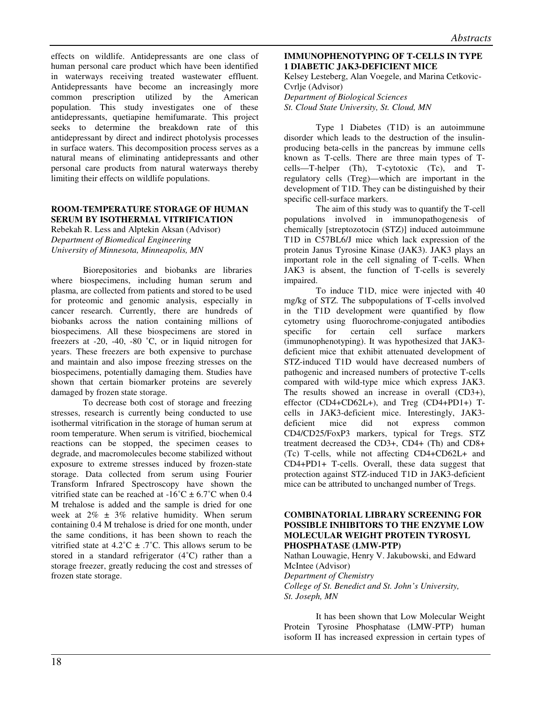effects on wildlife. Antidepressants are one class of human personal care product which have been identified in waterways receiving treated wastewater effluent. Antidepressants have become an increasingly more common prescription utilized by the American population. This study investigates one of these antidepressants, quetiapine hemifumarate. This project seeks to determine the breakdown rate of this antidepressant by direct and indirect photolysis processes in surface waters. This decomposition process serves as a natural means of eliminating antidepressants and other personal care products from natural waterways thereby limiting their effects on wildlife populations.

# **ROOM-TEMPERATURE STORAGE OF HUMAN SERUM BY ISOTHERMAL VITRIFICATION**

Rebekah R. Less and Alptekin Aksan (Advisor) *Department of Biomedical Engineering University of Minnesota, Minneapolis, MN* 

Biorepositories and biobanks are libraries where biospecimens, including human serum and plasma, are collected from patients and stored to be used for proteomic and genomic analysis, especially in cancer research. Currently, there are hundreds of biobanks across the nation containing millions of biospecimens. All these biospecimens are stored in freezers at -20, -40, -80 ˚C, or in liquid nitrogen for years. These freezers are both expensive to purchase and maintain and also impose freezing stresses on the biospecimens, potentially damaging them. Studies have shown that certain biomarker proteins are severely damaged by frozen state storage.

To decrease both cost of storage and freezing stresses, research is currently being conducted to use isothermal vitrification in the storage of human serum at room temperature. When serum is vitrified, biochemical reactions can be stopped, the specimen ceases to degrade, and macromolecules become stabilized without exposure to extreme stresses induced by frozen-state storage. Data collected from serum using Fourier Transform Infrared Spectroscopy have shown the vitrified state can be reached at  $-16^{\circ}$ C  $\pm 6.7^{\circ}$ C when 0.4 M trehalose is added and the sample is dried for one week at  $2\% \pm 3\%$  relative humidity. When serum containing 0.4 M trehalose is dried for one month, under the same conditions, it has been shown to reach the vitrified state at  $4.2^{\circ}$ C  $\pm$  .7°C. This allows serum to be stored in a standard refrigerator (4˚C) rather than a storage freezer, greatly reducing the cost and stresses of frozen state storage.

# **IMMUNOPHENOTYPING OF T-CELLS IN TYPE 1 DIABETIC JAK3-DEFICIENT MICE**

Kelsey Lesteberg, Alan Voegele, and Marina Cetkovic-Cvrlje (Advisor) *Department of Biological Sciences St. Cloud State University, St. Cloud, MN* 

Type 1 Diabetes (T1D) is an autoimmune disorder which leads to the destruction of the insulinproducing beta-cells in the pancreas by immune cells known as T-cells. There are three main types of Tcells—T-helper (Th), T-cytotoxic (Tc), and Tregulatory cells (Treg)—which are important in the development of T1D. They can be distinguished by their specific cell-surface markers.

The aim of this study was to quantify the T-cell populations involved in immunopathogenesis of chemically [streptozotocin (STZ)] induced autoimmune T1D in C57BL6/J mice which lack expression of the protein Janus Tyrosine Kinase (JAK3). JAK3 plays an important role in the cell signaling of T-cells. When JAK3 is absent, the function of T-cells is severely impaired.

To induce T1D, mice were injected with 40 mg/kg of STZ. The subpopulations of T-cells involved in the T1D development were quantified by flow cytometry using fluorochrome-conjugated antibodies specific for certain cell surface markers (immunophenotyping). It was hypothesized that JAK3 deficient mice that exhibit attenuated development of STZ-induced T1D would have decreased numbers of pathogenic and increased numbers of protective T-cells compared with wild-type mice which express JAK3. The results showed an increase in overall (CD3+), effector (CD4+CD62L+), and Treg (CD4+PD1+) Tcells in JAK3-deficient mice. Interestingly, JAK3 deficient mice did not express common CD4/CD25/FoxP3 markers, typical for Tregs. STZ treatment decreased the CD3+, CD4+ (Th) and CD8+ (Tc) T-cells, while not affecting CD4+CD62L+ and CD4+PD1+ T-cells. Overall, these data suggest that protection against STZ-induced T1D in JAK3-deficient mice can be attributed to unchanged number of Tregs.

## **COMBINATORIAL LIBRARY SCREENING FOR POSSIBLE INHIBITORS TO THE ENZYME LOW MOLECULAR WEIGHT PROTEIN TYROSYL PHOSPHATASE (LMW-PTP)**

Nathan Louwagie, Henry V. Jakubowski, and Edward McIntee (Advisor)

*Department of Chemistry*

*College of St. Benedict and St. John's University, St. Joseph, MN*

It has been shown that Low Molecular Weight Protein Tyrosine Phosphatase (LMW-PTP) human isoform II has increased expression in certain types of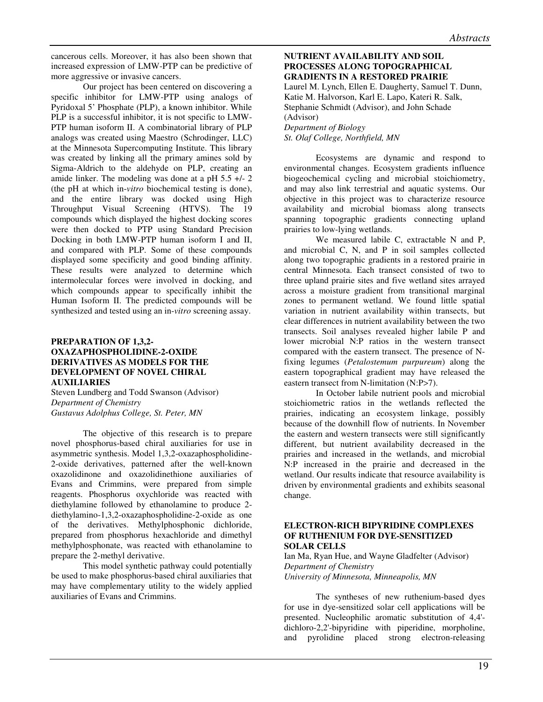cancerous cells. Moreover, it has also been shown that increased expression of LMW-PTP can be predictive of more aggressive or invasive cancers.

Our project has been centered on discovering a specific inhibitor for LMW-PTP using analogs of Pyridoxal 5' Phosphate (PLP), a known inhibitor. While PLP is a successful inhibitor, it is not specific to LMW-PTP human isoform II. A combinatorial library of PLP analogs was created using Maestro (Schrodinger, LLC) at the Minnesota Supercomputing Institute. This library was created by linking all the primary amines sold by Sigma-Aldrich to the aldehyde on PLP, creating an amide linker. The modeling was done at a pH 5.5 +/- 2 (the pH at which in-*vitro* biochemical testing is done), and the entire library was docked using High Throughput Visual Screening (HTVS). The 19 compounds which displayed the highest docking scores were then docked to PTP using Standard Precision Docking in both LMW-PTP human isoform I and II, and compared with PLP. Some of these compounds displayed some specificity and good binding affinity. These results were analyzed to determine which intermolecular forces were involved in docking, and which compounds appear to specifically inhibit the Human Isoform II. The predicted compounds will be synthesized and tested using an in-*vitro* screening assay.

# **PREPARATION OF 1,3,2- OXAZAPHOSPHOLIDINE-2-OXIDE DERIVATIVES AS MODELS FOR THE DEVELOPMENT OF NOVEL CHIRAL AUXILIARIES**

Steven Lundberg and Todd Swanson (Advisor) *Department of Chemistry Gustavus Adolphus College, St. Peter, MN* 

The objective of this research is to prepare novel phosphorus-based chiral auxiliaries for use in asymmetric synthesis. Model 1,3,2-oxazaphospholidine-2-oxide derivatives, patterned after the well-known oxazolidinone and oxazolidinethione auxiliaries of Evans and Crimmins, were prepared from simple reagents. Phosphorus oxychloride was reacted with diethylamine followed by ethanolamine to produce 2 diethylamino-1,3,2-oxazaphospholidine-2-oxide as one of the derivatives. Methylphosphonic dichloride, prepared from phosphorus hexachloride and dimethyl methylphosphonate, was reacted with ethanolamine to prepare the 2-methyl derivative.

This model synthetic pathway could potentially be used to make phosphorus-based chiral auxiliaries that may have complementary utility to the widely applied auxiliaries of Evans and Crimmins.

# **NUTRIENT AVAILABILITY AND SOIL PROCESSES ALONG TOPOGRAPHICAL GRADIENTS IN A RESTORED PRAIRIE**

Laurel M. Lynch, Ellen E. Daugherty, Samuel T. Dunn, Katie M. Halvorson, Karl E. Lapo, Kateri R. Salk, Stephanie Schmidt (Advisor), and John Schade (Advisor) *Department of Biology St. Olaf College, Northfield, MN* 

Ecosystems are dynamic and respond to environmental changes. Ecosystem gradients influence biogeochemical cycling and microbial stoichiometry, and may also link terrestrial and aquatic systems. Our objective in this project was to characterize resource availability and microbial biomass along transects spanning topographic gradients connecting upland prairies to low-lying wetlands.

We measured labile C, extractable N and P, and microbial C, N, and P in soil samples collected along two topographic gradients in a restored prairie in central Minnesota. Each transect consisted of two to three upland prairie sites and five wetland sites arrayed across a moisture gradient from transitional marginal zones to permanent wetland. We found little spatial variation in nutrient availability within transects, but clear differences in nutrient availability between the two transects. Soil analyses revealed higher labile P and lower microbial N:P ratios in the western transect compared with the eastern transect. The presence of Nfixing legumes (*Petalostemum purpureum*) along the eastern topographical gradient may have released the eastern transect from N-limitation (N:P>7).

In October labile nutrient pools and microbial stoichiometric ratios in the wetlands reflected the prairies, indicating an ecosystem linkage, possibly because of the downhill flow of nutrients. In November the eastern and western transects were still significantly different, but nutrient availability decreased in the prairies and increased in the wetlands, and microbial N:P increased in the prairie and decreased in the wetland. Our results indicate that resource availability is driven by environmental gradients and exhibits seasonal change.

## **ELECTRON-RICH BIPYRIDINE COMPLEXES OF RUTHENIUM FOR DYE-SENSITIZED SOLAR CELLS**

Ian Ma, Ryan Hue, and Wayne Gladfelter (Advisor) *Department of Chemistry University of Minnesota, Minneapolis, MN*

 The syntheses of new ruthenium-based dyes for use in dye-sensitized solar cell applications will be presented. Nucleophilic aromatic substitution of 4,4' dichloro-2,2'-bipyridine with piperidine, morpholine, and pyrolidine placed strong electron-releasing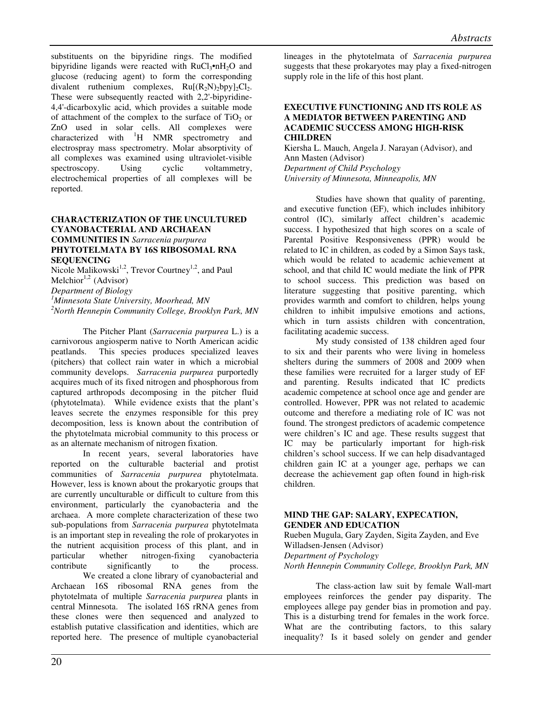substituents on the bipyridine rings. The modified bipyridine ligands were reacted with  $RuCl<sub>3</sub>•nH<sub>2</sub>O$  and glucose (reducing agent) to form the corresponding divalent ruthenium complexes,  $Ru[(R_2N)_2bpy]_2Cl_2$ . These were subsequently reacted with 2,2'-bipyridine-4,4'-dicarboxylic acid, which provides a suitable mode of attachment of the complex to the surface of  $TiO<sub>2</sub>$  or ZnO used in solar cells. All complexes were characterized with  ${}^{1}H$  NMR spectrometry and electrospray mass spectrometry. Molar absorptivity of all complexes was examined using ultraviolet-visible spectroscopy. Using cyclic voltammetry, electrochemical properties of all complexes will be reported.

# **CHARACTERIZATION OF THE UNCULTURED CYANOBACTERIAL AND ARCHAEAN COMMUNITIES IN** *Sarracenia purpurea* **PHYTOTELMATA BY 16S RIBOSOMAL RNA SEQUENCING**

Nicole Malikowski<sup>1,2</sup>, Trevor Courtney<sup>1,2</sup>, and Paul Melchior<sup>1,2</sup> (Advisor)

*Department of Biology*

*<sup>1</sup>Minnesota State University, Moorhead, MN <sup>2</sup>North Hennepin Community College, Brooklyn Park, MN*

 The Pitcher Plant (*Sarracenia purpurea* L.) is a carnivorous angiosperm native to North American acidic peatlands. This species produces specialized leaves (pitchers) that collect rain water in which a microbial community develops. *Sarracenia purpurea* purportedly acquires much of its fixed nitrogen and phosphorous from captured arthropods decomposing in the pitcher fluid (phytotelmata). While evidence exists that the plant's leaves secrete the enzymes responsible for this prey decomposition, less is known about the contribution of the phytotelmata microbial community to this process or as an alternate mechanism of nitrogen fixation.

 In recent years, several laboratories have reported on the culturable bacterial and protist communities of *Sarracenia purpurea* phytotelmata. However, less is known about the prokaryotic groups that are currently unculturable or difficult to culture from this environment, particularly the cyanobacteria and the archaea. A more complete characterization of these two sub-populations from *Sarracenia purpurea* phytotelmata is an important step in revealing the role of prokaryotes in the nutrient acquisition process of this plant, and in particular whether nitrogen-fixing cyanobacteria<br>contribute significantly to the process. significantly to the process. We created a clone library of cyanobacterial and Archaean 16S ribosomal RNA genes from the phytotelmata of multiple *Sarracenia purpurea* plants in central Minnesota. The isolated 16S rRNA genes from these clones were then sequenced and analyzed to establish putative classification and identities, which are reported here. The presence of multiple cyanobacterial lineages in the phytotelmata of *Sarracenia purpurea* suggests that these prokaryotes may play a fixed-nitrogen supply role in the life of this host plant.

# **EXECUTIVE FUNCTIONING AND ITS ROLE AS A MEDIATOR BETWEEN PARENTING AND ACADEMIC SUCCESS AMONG HIGH-RISK CHILDREN**

Kiersha L. Mauch, Angela J. Narayan (Advisor), and Ann Masten (Advisor) *Department of Child Psychology University of Minnesota, Minneapolis, MN* 

Studies have shown that quality of parenting, and executive function (EF), which includes inhibitory control (IC), similarly affect children's academic success. I hypothesized that high scores on a scale of Parental Positive Responsiveness (PPR) would be related to IC in children, as coded by a Simon Says task, which would be related to academic achievement at school, and that child IC would mediate the link of PPR to school success. This prediction was based on literature suggesting that positive parenting, which provides warmth and comfort to children, helps young children to inhibit impulsive emotions and actions, which in turn assists children with concentration, facilitating academic success.

My study consisted of 138 children aged four to six and their parents who were living in homeless shelters during the summers of 2008 and 2009 when these families were recruited for a larger study of EF and parenting. Results indicated that IC predicts academic competence at school once age and gender are controlled. However, PPR was not related to academic outcome and therefore a mediating role of IC was not found. The strongest predictors of academic competence were children's IC and age. These results suggest that IC may be particularly important for high-risk children's school success. If we can help disadvantaged children gain IC at a younger age, perhaps we can decrease the achievement gap often found in high-risk children.

## **MIND THE GAP: SALARY, EXPECATION, GENDER AND EDUCATION**

Rueben Mugula, Gary Zayden, Sigita Zayden, and Eve Willadsen-Jensen (Advisor) *Department of Psychology North Hennepin Community College, Brooklyn Park, MN* 

 The class-action law suit by female Wall-mart employees reinforces the gender pay disparity. The employees allege pay gender bias in promotion and pay. This is a disturbing trend for females in the work force. What are the contributing factors, to this salary inequality? Is it based solely on gender and gender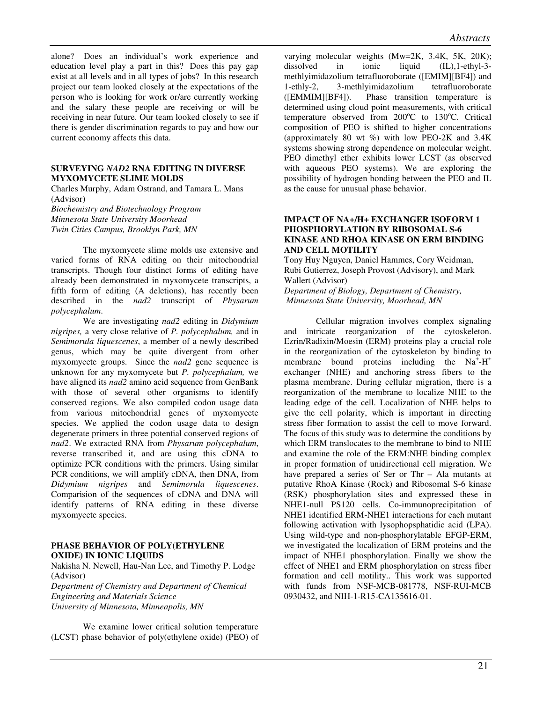alone? Does an individual's work experience and education level play a part in this? Does this pay gap exist at all levels and in all types of jobs? In this research project our team looked closely at the expectations of the person who is looking for work or/are currently working and the salary these people are receiving or will be receiving in near future. Our team looked closely to see if there is gender discrimination regards to pay and how our current economy affects this data.

#### **SURVEYING** *NAD2* **RNA EDITING IN DIVERSE MYXOMYCETE SLIME MOLDS**

Charles Murphy, Adam Ostrand, and Tamara L. Mans (Advisor) *Biochemistry and Biotechnology Program Minnesota State University Moorhead Twin Cities Campus, Brooklyn Park, MN* 

The myxomycete slime molds use extensive and varied forms of RNA editing on their mitochondrial transcripts. Though four distinct forms of editing have already been demonstrated in myxomycete transcripts, a fifth form of editing (A deletions), has recently been described in the *nad2* transcript of *Physarum polycephalum*.

We are investigating *nad2* editing in *Didymium nigripes,* a very close relative of *P. polycephalum,* and in *Semimorula liquescenes*, a member of a newly described genus, which may be quite divergent from other myxomycete groups. Since the *nad2* gene sequence is unknown for any myxomycete but *P. polycephalum,* we have aligned its *nad2* amino acid sequence from GenBank with those of several other organisms to identify conserved regions. We also compiled codon usage data from various mitochondrial genes of myxomycete species. We applied the codon usage data to design degenerate primers in three potential conserved regions of *nad2*. We extracted RNA from *Physarum polycephalum*, reverse transcribed it, and are using this cDNA to optimize PCR conditions with the primers. Using similar PCR conditions, we will amplify cDNA, then DNA, from *Didymium nigripes* and *Semimorula liquescenes*. Comparision of the sequences of cDNA and DNA will identify patterns of RNA editing in these diverse myxomycete species.

# **PHASE BEHAVIOR OF POLY(ETHYLENE OXIDE) IN IONIC LIQUIDS**

Nakisha N. Newell, Hau-Nan Lee, and Timothy P. Lodge (Advisor)

*Department of Chemistry and Department of Chemical Engineering and Materials Science University of Minnesota, Minneapolis, MN* 

We examine lower critical solution temperature (LCST) phase behavior of poly(ethylene oxide) (PEO) of varying molecular weights (Mw=2K, 3.4K, 5K, 20K); dissolved in ionic liquid (IL),1-ethyl-3 methlyimidazolium tetrafluoroborate ([EMIM][BF4]) and 1-ethly-2, 3-methlyimidazolium tetrafluoroborate ([EMMIM][BF4]). Phase transition temperature is determined using cloud point measurements, with critical temperature observed from  $200^{\circ}$ C to  $130^{\circ}$ C. Critical composition of PEO is shifted to higher concentrations (approximately 80 wt  $\%$ ) with low PEO-2K and 3.4K systems showing strong dependence on molecular weight. PEO dimethyl ether exhibits lower LCST (as observed with aqueous PEO systems). We are exploring the possibility of hydrogen bonding between the PEO and IL as the cause for unusual phase behavior.

# **IMPACT OF NA+/H+ EXCHANGER ISOFORM 1 PHOSPHORYLATION BY RIBOSOMAL S-6 KINASE AND RHOA KINASE ON ERM BINDING AND CELL MOTILITY**

Tony Huy Nguyen, Daniel Hammes, Cory Weidman, Rubi Gutierrez, Joseph Provost (Advisory), and Mark Wallert (Advisor) *Department of Biology, Department of Chemistry, Minnesota State University, Moorhead, MN* 

 Cellular migration involves complex signaling and intricate reorganization of the cytoskeleton. Ezrin/Radixin/Moesin (ERM) proteins play a crucial role in the reorganization of the cytoskeleton by binding to membrane bound proteins including the  $Na<sup>+</sup>-H<sup>+</sup>$ exchanger (NHE) and anchoring stress fibers to the plasma membrane. During cellular migration, there is a reorganization of the membrane to localize NHE to the leading edge of the cell. Localization of NHE helps to give the cell polarity, which is important in directing stress fiber formation to assist the cell to move forward. The focus of this study was to determine the conditions by which ERM translocates to the membrane to bind to NHE and examine the role of the ERM:NHE binding complex in proper formation of unidirectional cell migration. We have prepared a series of Ser or Thr – Ala mutants at putative RhoA Kinase (Rock) and Ribosomal S-6 kinase (RSK) phosphorylation sites and expressed these in NHE1-null PS120 cells. Co-immunoprecipitation of NHE1 identified ERM-NHE1 interactions for each mutant following activation with lysophopsphatidic acid (LPA). Using wild-type and non-phosphorylatable EFGP-ERM, we investigated the localization of ERM proteins and the impact of NHE1 phosphorylation. Finally we show the effect of NHE1 and ERM phosphorylation on stress fiber formation and cell motility.. This work was supported with funds from NSF-MCB-081778, NSF-RUI-MCB 0930432, and NIH-1-R15-CA135616-01.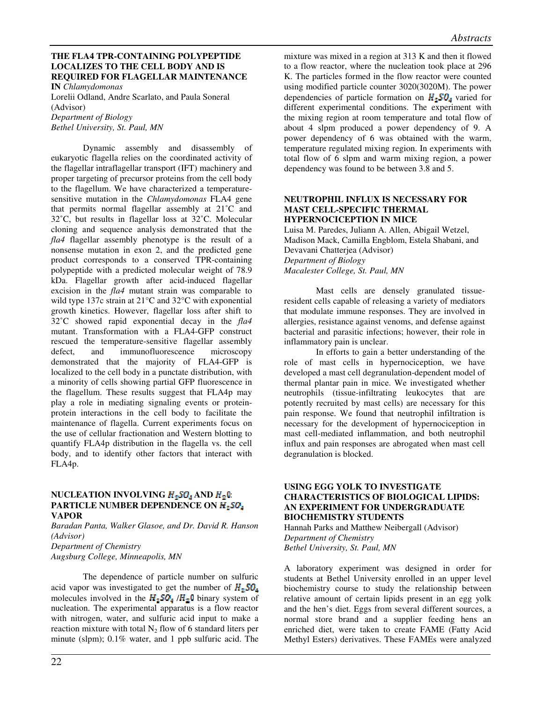# **THE FLA4 TPR-CONTAINING POLYPEPTIDE LOCALIZES TO THE CELL BODY AND IS REQUIRED FOR FLAGELLAR MAINTENANCE**

**IN** *Chlamydomonas*  Lorelii Odland, Andre Scarlato, and Paula Soneral

(Advisor) *Department of Biology* 

*Bethel University, St. Paul, MN* 

Dynamic assembly and disassembly of eukaryotic flagella relies on the coordinated activity of the flagellar intraflagellar transport (IFT) machinery and proper targeting of precursor proteins from the cell body to the flagellum. We have characterized a temperaturesensitive mutation in the *Chlamydomonas* FLA4 gene that permits normal flagellar assembly at 21˚C and 32˚C, but results in flagellar loss at 32˚C. Molecular cloning and sequence analysis demonstrated that the *fla4* flagellar assembly phenotype is the result of a nonsense mutation in exon 2, and the predicted gene product corresponds to a conserved TPR-containing polypeptide with a predicted molecular weight of 78.9 kDa. Flagellar growth after acid-induced flagellar excision in the *fla4* mutant strain was comparable to wild type 137c strain at 21°C and 32°C with exponential growth kinetics. However, flagellar loss after shift to 32˚C showed rapid exponential decay in the *fla4* mutant. Transformation with a FLA4-GFP construct rescued the temperature-sensitive flagellar assembly defect, and immunofluorescence microscopy demonstrated that the majority of FLA4-GFP is localized to the cell body in a punctate distribution, with a minority of cells showing partial GFP fluorescence in the flagellum. These results suggest that FLA4p may play a role in mediating signaling events or proteinprotein interactions in the cell body to facilitate the maintenance of flagella. Current experiments focus on the use of cellular fractionation and Western blotting to quantify FLA4p distribution in the flagella vs. the cell body, and to identify other factors that interact with FLA4p.

# **NUCLEATION INVOLVING**  $H_2$ **50<sub>4</sub> AND**  $H_2$ **0: PARTICLE NUMBER DEPENDENCE ON VAPOR**

*Baradan Panta, Walker Glasoe, and Dr. David R. Hanson (Advisor) Department of Chemistry Augsburg College, Minneapolis, MN* 

The dependence of particle number on sulfuric acid vapor was investigated to get the number of  $H_{\mathbb{Z}}\text{SO}_4$ molecules involved in the  $H_2SO_4/H_2O$  binary system of nucleation. The experimental apparatus is a flow reactor with nitrogen, water, and sulfuric acid input to make a reaction mixture with total  $N_2$  flow of 6 standard liters per minute (slpm); 0.1% water, and 1 ppb sulfuric acid. The mixture was mixed in a region at 313 K and then it flowed to a flow reactor, where the nucleation took place at 296 K. The particles formed in the flow reactor were counted using modified particle counter 3020(3020M). The power dependencies of particle formation on  $H_2SO<sub>a</sub>$  varied for different experimental conditions. The experiment with the mixing region at room temperature and total flow of about 4 slpm produced a power dependency of 9. A power dependency of 6 was obtained with the warm, temperature regulated mixing region. In experiments with total flow of 6 slpm and warm mixing region, a power dependency was found to be between 3.8 and 5.

## **NEUTROPHIL INFLUX IS NECESSARY FOR MAST CELL-SPECIFIC THERMAL HYPERNOCICEPTION IN MICE**

Luisa M. Paredes, Juliann A. Allen, Abigail Wetzel, Madison Mack, Camilla Engblom, Estela Shabani, and Devavani Chatterjea (Advisor) *Department of Biology Macalester College, St. Paul, MN* 

Mast cells are densely granulated tissueresident cells capable of releasing a variety of mediators that modulate immune responses. They are involved in allergies, resistance against venoms, and defense against bacterial and parasitic infections; however, their role in inflammatory pain is unclear.

In efforts to gain a better understanding of the role of mast cells in hypernociception, we have developed a mast cell degranulation-dependent model of thermal plantar pain in mice. We investigated whether neutrophils (tissue-infiltrating leukocytes that are potently recruited by mast cells) are necessary for this pain response. We found that neutrophil infiltration is necessary for the development of hypernociception in mast cell-mediated inflammation, and both neutrophil influx and pain responses are abrogated when mast cell degranulation is blocked.

# **USING EGG YOLK TO INVESTIGATE CHARACTERISTICS OF BIOLOGICAL LIPIDS: AN EXPERIMENT FOR UNDERGRADUATE BIOCHEMISTRY STUDENTS**

Hannah Parks and Matthew Neibergall (Advisor) *Department of Chemistry Bethel University, St. Paul, MN* 

A laboratory experiment was designed in order for students at Bethel University enrolled in an upper level biochemistry course to study the relationship between relative amount of certain lipids present in an egg yolk and the hen's diet. Eggs from several different sources, a normal store brand and a supplier feeding hens an enriched diet, were taken to create FAME (Fatty Acid Methyl Esters) derivatives. These FAMEs were analyzed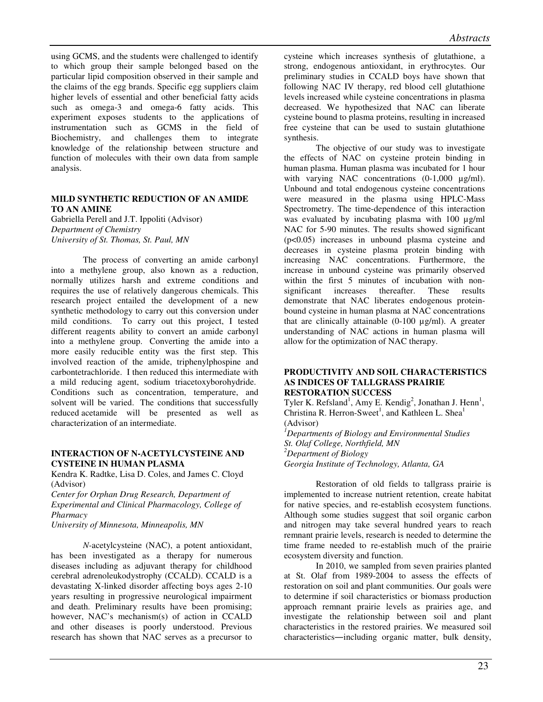using GCMS, and the students were challenged to identify to which group their sample belonged based on the particular lipid composition observed in their sample and the claims of the egg brands. Specific egg suppliers claim higher levels of essential and other beneficial fatty acids such as omega-3 and omega-6 fatty acids. This experiment exposes students to the applications of instrumentation such as GCMS in the field of Biochemistry, and challenges them to integrate knowledge of the relationship between structure and function of molecules with their own data from sample analysis.

# **MILD SYNTHETIC REDUCTION OF AN AMIDE TO AN AMINE**

Gabriella Perell and J.T. Ippoliti (Advisor) *Department of Chemistry University of St. Thomas, St. Paul, MN* 

 The process of converting an amide carbonyl into a methylene group, also known as a reduction, normally utilizes harsh and extreme conditions and requires the use of relatively dangerous chemicals. This research project entailed the development of a new synthetic methodology to carry out this conversion under mild conditions. To carry out this project, I tested different reagents ability to convert an amide carbonyl into a methylene group. Converting the amide into a more easily reducible entity was the first step. This involved reaction of the amide, triphenylphospine and carbontetrachloride. I then reduced this intermediate with a mild reducing agent, sodium triacetoxyborohydride. Conditions such as concentration, temperature, and solvent will be varied. The conditions that successfully reduced acetamide will be presented as well as characterization of an intermediate.

# **INTERACTION OF N-ACETYLCYSTEINE AND CYSTEINE IN HUMAN PLASMA**

Kendra K. Radtke, Lisa D. Coles, and James C. Cloyd (Advisor)

*Center for Orphan Drug Research, Department of Experimental and Clinical Pharmacology, College of Pharmacy* 

*University of Minnesota, Minneapolis, MN* 

*N-*acetylcysteine (NAC), a potent antioxidant, has been investigated as a therapy for numerous diseases including as adjuvant therapy for childhood cerebral adrenoleukodystrophy (CCALD). CCALD is a devastating X-linked disorder affecting boys ages 2-10 years resulting in progressive neurological impairment and death. Preliminary results have been promising; however, NAC's mechanism(s) of action in CCALD and other diseases is poorly understood. Previous research has shown that NAC serves as a precursor to

cysteine which increases synthesis of glutathione, a strong, endogenous antioxidant, in erythrocytes. Our preliminary studies in CCALD boys have shown that following NAC IV therapy, red blood cell glutathione levels increased while cysteine concentrations in plasma decreased. We hypothesized that NAC can liberate cysteine bound to plasma proteins, resulting in increased free cysteine that can be used to sustain glutathione synthesis.

The objective of our study was to investigate the effects of NAC on cysteine protein binding in human plasma. Human plasma was incubated for 1 hour with varying NAC concentrations (0-1,000 µg/ml). Unbound and total endogenous cysteine concentrations were measured in the plasma using HPLC-Mass Spectrometry. The time-dependence of this interaction was evaluated by incubating plasma with 100 µg/ml NAC for 5-90 minutes. The results showed significant (p<0.05) increases in unbound plasma cysteine and decreases in cysteine plasma protein binding with increasing NAC concentrations. Furthermore, the increase in unbound cysteine was primarily observed within the first 5 minutes of incubation with nonsignificant increases thereafter. These results demonstrate that NAC liberates endogenous proteinbound cysteine in human plasma at NAC concentrations that are clinically attainable  $(0-100 \text{ µg/ml})$ . A greater understanding of NAC actions in human plasma will allow for the optimization of NAC therapy.

## **PRODUCTIVITY AND SOIL CHARACTERISTICS AS INDICES OF TALLGRASS PRAIRIE RESTORATION SUCCESS**

Tyler K. Refsland<sup>1</sup>, Amy E. Kendig<sup>2</sup>, Jonathan J. Henn<sup>1</sup>, Christina R. Herron-Sweet<sup>1</sup>, and Kathleen L. Shea<sup>1</sup> (Advisor)

*<sup>1</sup>Departments of Biology and Environmental Studies St. Olaf College, Northfield, MN <sup>2</sup>Department of Biology Georgia Institute of Technology, Atlanta, GA* 

Restoration of old fields to tallgrass prairie is implemented to increase nutrient retention, create habitat for native species, and re-establish ecosystem functions. Although some studies suggest that soil organic carbon and nitrogen may take several hundred years to reach remnant prairie levels, research is needed to determine the time frame needed to re-establish much of the prairie ecosystem diversity and function.

In 2010, we sampled from seven prairies planted at St. Olaf from 1989-2004 to assess the effects of restoration on soil and plant communities. Our goals were to determine if soil characteristics or biomass production approach remnant prairie levels as prairies age, and investigate the relationship between soil and plant characteristics in the restored prairies. We measured soil characteristics―including organic matter, bulk density,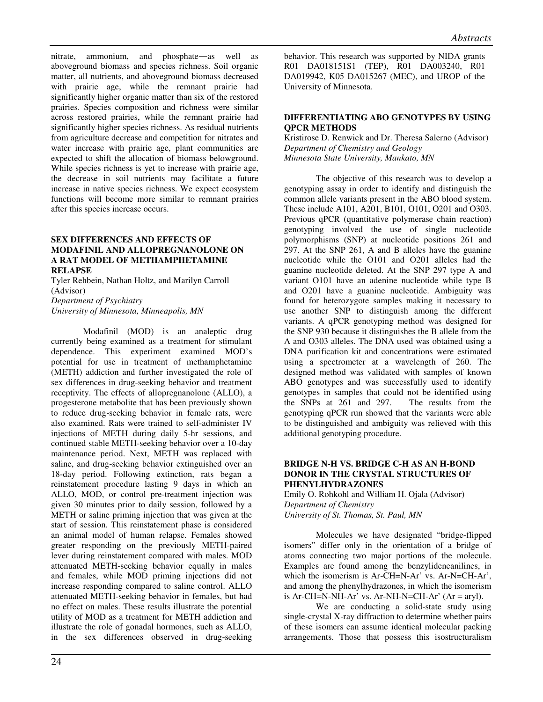nitrate, ammonium, and phosphate―as well as aboveground biomass and species richness. Soil organic matter, all nutrients, and aboveground biomass decreased with prairie age, while the remnant prairie had significantly higher organic matter than six of the restored prairies. Species composition and richness were similar across restored prairies, while the remnant prairie had significantly higher species richness. As residual nutrients from agriculture decrease and competition for nitrates and water increase with prairie age, plant communities are expected to shift the allocation of biomass belowground. While species richness is yet to increase with prairie age, the decrease in soil nutrients may facilitate a future increase in native species richness. We expect ecosystem functions will become more similar to remnant prairies after this species increase occurs.

## **SEX DIFFERENCES AND EFFECTS OF MODAFINIL AND ALLOPREGNANOLONE ON A RAT MODEL OF METHAMPHETAMINE RELAPSE**

Tyler Rehbein, Nathan Holtz, and Marilyn Carroll (Advisor)

*Department of Psychiatry University of Minnesota, Minneapolis, MN* 

Modafinil (MOD) is an analeptic drug currently being examined as a treatment for stimulant dependence. This experiment examined MOD's potential for use in treatment of methamphetamine (METH) addiction and further investigated the role of sex differences in drug-seeking behavior and treatment receptivity. The effects of allopregnanolone (ALLO), a progesterone metabolite that has been previously shown to reduce drug-seeking behavior in female rats, were also examined. Rats were trained to self-administer IV injections of METH during daily 5-hr sessions, and continued stable METH-seeking behavior over a 10-day maintenance period. Next, METH was replaced with saline, and drug-seeking behavior extinguished over an 18-day period. Following extinction, rats began a reinstatement procedure lasting 9 days in which an ALLO, MOD, or control pre-treatment injection was given 30 minutes prior to daily session, followed by a METH or saline priming injection that was given at the start of session. This reinstatement phase is considered an animal model of human relapse. Females showed greater responding on the previously METH-paired lever during reinstatement compared with males. MOD attenuated METH-seeking behavior equally in males and females, while MOD priming injections did not increase responding compared to saline control. ALLO attenuated METH-seeking behavior in females, but had no effect on males. These results illustrate the potential utility of MOD as a treatment for METH addiction and illustrate the role of gonadal hormones, such as ALLO, in the sex differences observed in drug-seeking

behavior. This research was supported by NIDA grants R01 DA018151S1 (TEP), R01 DA003240, R01 DA019942, K05 DA015267 (MEC), and UROP of the University of Minnesota.

# **DIFFERENTIATING ABO GENOTYPES BY USING QPCR METHODS**

Kristirose D. Renwick and Dr. Theresa Salerno (Advisor) *Department of Chemistry and Geology Minnesota State University, Mankato, MN* 

 The objective of this research was to develop a genotyping assay in order to identify and distinguish the common allele variants present in the ABO blood system. These include A101, A201, B101, O101, O201 and O303. Previous qPCR (quantitative polymerase chain reaction) genotyping involved the use of single nucleotide polymorphisms (SNP) at nucleotide positions 261 and 297. At the SNP 261, A and B alleles have the guanine nucleotide while the O101 and O201 alleles had the guanine nucleotide deleted. At the SNP 297 type A and variant O101 have an adenine nucleotide while type B and O201 have a guanine nucleotide. Ambiguity was found for heterozygote samples making it necessary to use another SNP to distinguish among the different variants. A qPCR genotyping method was designed for the SNP 930 because it distinguishes the B allele from the A and O303 alleles. The DNA used was obtained using a DNA purification kit and concentrations were estimated using a spectrometer at a wavelength of 260. The designed method was validated with samples of known ABO genotypes and was successfully used to identify genotypes in samples that could not be identified using the SNPs at 261 and 297. The results from the genotyping qPCR run showed that the variants were able to be distinguished and ambiguity was relieved with this additional genotyping procedure.

# **BRIDGE N-H VS. BRIDGE C-H AS AN H-BOND DONOR IN THE CRYSTAL STRUCTURES OF PHENYLHYDRAZONES**

Emily O. Rohkohl and William H. Ojala (Advisor) *Department of Chemistry University of St. Thomas, St. Paul, MN* 

Molecules we have designated "bridge-flipped isomers" differ only in the orientation of a bridge of atoms connecting two major portions of the molecule. Examples are found among the benzylideneanilines, in which the isomerism is Ar-CH=N-Ar' vs. Ar-N=CH-Ar', and among the phenylhydrazones, in which the isomerism is  $Ar-CH=N-NH-Ar'$  vs.  $Ar-NH-N=CH-Ar'$   $(Ar = aryl)$ .

We are conducting a solid-state study using single-crystal X-ray diffraction to determine whether pairs of these isomers can assume identical molecular packing arrangements. Those that possess this isostructuralism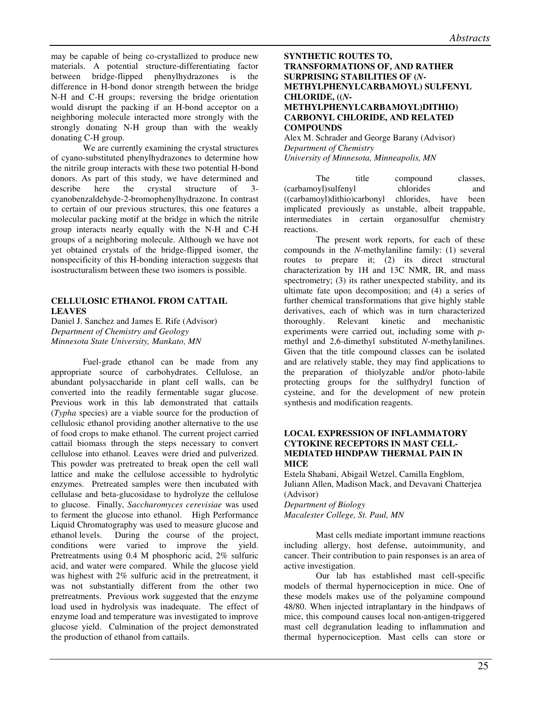may be capable of being co-crystallized to produce new materials. A potential structure-differentiating factor between bridge-flipped phenylhydrazones is the difference in H-bond donor strength between the bridge N-H and C-H groups; reversing the bridge orientation would disrupt the packing if an H-bond acceptor on a neighboring molecule interacted more strongly with the strongly donating N-H group than with the weakly donating C-H group.

We are currently examining the crystal structures of cyano-substituted phenylhydrazones to determine how the nitrile group interacts with these two potential H-bond donors. As part of this study, we have determined and describe here the crystal structure of 3 cyanobenzaldehyde-2-bromophenylhydrazone. In contrast to certain of our previous structures, this one features a molecular packing motif at the bridge in which the nitrile group interacts nearly equally with the N-H and C-H groups of a neighboring molecule. Although we have not yet obtained crystals of the bridge-flipped isomer, the nonspecificity of this H-bonding interaction suggests that isostructuralism between these two isomers is possible.

# **CELLULOSIC ETHANOL FROM CATTAIL LEAVES**

Daniel J. Sanchez and James E. Rife (Advisor) *Department of Chemistry and Geology Minnesota State University, Mankato, MN* 

 Fuel-grade ethanol can be made from any appropriate source of carbohydrates. Cellulose, an abundant polysaccharide in plant cell walls, can be converted into the readily fermentable sugar glucose. Previous work in this lab demonstrated that cattails (*Typha* species) are a viable source for the production of cellulosic ethanol providing another alternative to the use of food crops to make ethanol. The current project carried cattail biomass through the steps necessary to convert cellulose into ethanol. Leaves were dried and pulverized. This powder was pretreated to break open the cell wall lattice and make the cellulose accessible to hydrolytic enzymes. Pretreated samples were then incubated with cellulase and beta-glucosidase to hydrolyze the cellulose to glucose. Finally, *Saccharomyces cerevisiae* was used to ferment the glucose into ethanol. High Performance Liquid Chromatography was used to measure glucose and ethanol levels. During the course of the project, conditions were varied to improve the yield. Pretreatments using 0.4 M phosphoric acid, 2% sulfuric acid, and water were compared. While the glucose yield was highest with 2% sulfuric acid in the pretreatment, it was not substantially different from the other two pretreatments. Previous work suggested that the enzyme load used in hydrolysis was inadequate. The effect of enzyme load and temperature was investigated to improve glucose yield. Culmination of the project demonstrated the production of ethanol from cattails.

## **SYNTHETIC ROUTES TO, TRANSFORMATIONS OF, AND RATHER SURPRISING STABILITIES OF (***N***-METHYLPHENYLCARBAMOYL) SULFENYL CHLORIDE, ((***N***-METHYLPHENYLCARBAMOYL)DITHIO) CARBONYL CHLORIDE, AND RELATED COMPOUNDS**

Alex M. Schrader and George Barany (Advisor) *Department of Chemistry University of Minnesota, Minneapolis, MN* 

The title compound classes, (carbamoyl)sulfenyl chlorides and ((carbamoyl)dithio)carbonyl chlorides, have been implicated previously as unstable, albeit trappable, intermediates in certain organosulfur chemistry reactions.

The present work reports, for each of these compounds in the *N*-methylaniline family: (1) several routes to prepare it; (2) its direct structural characterization by 1H and 13C NMR, IR, and mass spectrometry; (3) its rather unexpected stability, and its ultimate fate upon decomposition; and (4) a series of further chemical transformations that give highly stable derivatives, each of which was in turn characterized<br>thoroughly. Relevant kinetic and mechanistic thoroughly. experiments were carried out, including some with *p*methyl and 2,6-dimethyl substituted *N*-methylanilines. Given that the title compound classes can be isolated and are relatively stable, they may find applications to the preparation of thiolyzable and/or photo-labile protecting groups for the sulfhydryl function of cysteine, and for the development of new protein synthesis and modification reagents.

# **LOCAL EXPRESSION OF INFLAMMATORY CYTOKINE RECEPTORS IN MAST CELL-MEDIATED HINDPAW THERMAL PAIN IN MICE**

Estela Shabani, Abigail Wetzel, Camilla Engblom, Juliann Allen, Madison Mack, and Devavani Chatterjea (Advisor) *Department of Biology Macalester College, St. Paul, MN*

Mast cells mediate important immune reactions including allergy, host defense, autoimmunity, and cancer. Their contribution to pain responses is an area of active investigation.

Our lab has established mast cell-specific models of thermal hypernociception in mice. One of these models makes use of the polyamine compound 48/80. When injected intraplantary in the hindpaws of mice, this compound causes local non-antigen-triggered mast cell degranulation leading to inflammation and thermal hypernociception. Mast cells can store or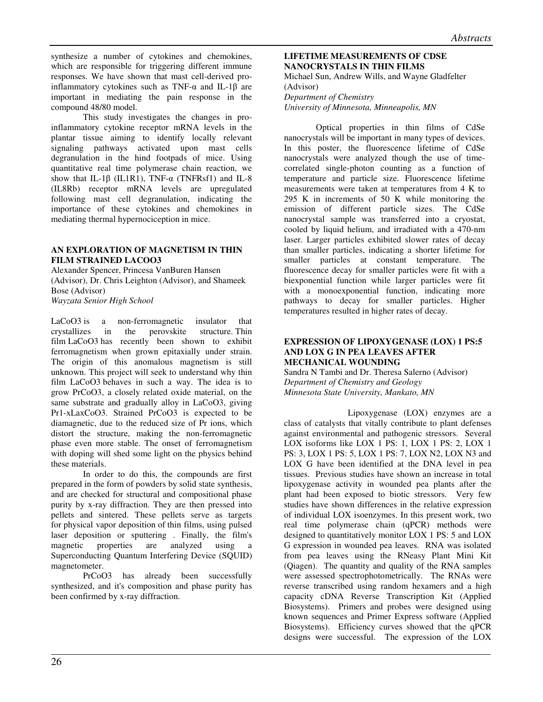synthesize a number of cytokines and chemokines, which are responsible for triggering different immune responses. We have shown that mast cell-derived proinflammatory cytokines such as TNF- $\alpha$  and IL-1 $\beta$  are important in mediating the pain response in the compound 48/80 model.

This study investigates the changes in proinflammatory cytokine receptor mRNA levels in the plantar tissue aiming to identify locally relevant signaling pathways activated upon mast cells degranulation in the hind footpads of mice. Using quantitative real time polymerase chain reaction, we show that IL-1 $\beta$  (IL1R1), TNF- $\alpha$  (TNFRsf1) and IL-8 (IL8Rb) receptor mRNA levels are upregulated following mast cell degranulation, indicating the importance of these cytokines and chemokines in mediating thermal hypernociception in mice.

# **AN EXPLORATION OF MAGNETISM IN THIN FILM STRAINED LACOO3**

Alexander Spencer, Princesa VanBuren Hansen (Advisor), Dr. Chris Leighton (Advisor), and Shameek Bose (Advisor) *Wayzata Senior High School* 

LaCoO3 is a non-ferromagnetic insulator that crystallizes in the perovskite structure. Thin film LaCoO3 has recently been shown to exhibit ferromagnetism when grown epitaxially under strain. The origin of this anomalous magnetism is still unknown. This project will seek to understand why thin film LaCoO3 behaves in such a way. The idea is to grow PrCoO3, a closely related oxide material, on the same substrate and gradually alloy in LaCoO3, giving Pr1-xLaxCoO3. Strained PrCoO3 is expected to be diamagnetic, due to the reduced size of Pr ions, which distort the structure, making the non-ferromagnetic phase even more stable. The onset of ferromagnetism with doping will shed some light on the physics behind these materials.

 In order to do this, the compounds are first prepared in the form of powders by solid state synthesis, and are checked for structural and compositional phase purity by x-ray diffraction. They are then pressed into pellets and sintered. These pellets serve as targets for physical vapor deposition of thin films, using pulsed laser deposition or sputtering . Finally, the film's magnetic properties are analyzed using a Superconducting Quantum Interfering Device (SQUID) magnetometer.

 PrCoO3 has already been successfully synthesized, and it's composition and phase purity has been confirmed by x-ray diffraction.

**LIFETIME MEASUREMENTS OF CDSE NANOCRYSTALS IN THIN FILMS**  Michael Sun, Andrew Wills, and Wayne Gladfelter (Advisor) *Department of Chemistry University of Minnesota, Minneapolis, MN* 

 Optical properties in thin films of CdSe nanocrystals will be important in many types of devices. In this poster, the fluorescence lifetime of CdSe nanocrystals were analyzed though the use of timecorrelated single-photon counting as a function of temperature and particle size. Fluorescence lifetime measurements were taken at temperatures from 4 K to 295 K in increments of 50 K while monitoring the emission of different particle sizes. The CdSe nanocrystal sample was transferred into a cryostat, cooled by liquid helium, and irradiated with a 470-nm laser. Larger particles exhibited slower rates of decay than smaller particles, indicating a shorter lifetime for smaller particles at constant temperature. The fluorescence decay for smaller particles were fit with a biexponential function while larger particles were fit with a monoexponential function, indicating more pathways to decay for smaller particles. Higher temperatures resulted in higher rates of decay.

# **EXPRESSION OF LIPOXYGENASE (LOX) 1 PS:5 AND LOX G IN PEA LEAVES AFTER MECHANICAL WOUNDING**

Sandra N Tambi and Dr. Theresa Salerno (Advisor) *Department of Chemistry and Geology Minnesota State University, Mankato, MN* 

 Lipoxygenase (LOX) enzymes are a class of catalysts that vitally contribute to plant defenses against environmental and pathogenic stressors. Several LOX isoforms like LOX 1 PS: 1, LOX 1 PS: 2, LOX 1 PS: 3, LOX 1 PS: 5, LOX 1 PS: 7, LOX N2, LOX N3 and LOX G have been identified at the DNA level in pea tissues. Previous studies have shown an increase in total lipoxygenase activity in wounded pea plants after the plant had been exposed to biotic stressors. Very few studies have shown differences in the relative expression of individual LOX isoenzymes. In this present work, two real time polymerase chain (qPCR) methods were designed to quantitatively monitor LOX 1 PS: 5 and LOX G expression in wounded pea leaves. RNA was isolated from pea leaves using the RNeasy Plant Mini Kit (Qiagen). The quantity and quality of the RNA samples were assessed spectrophotometrically. The RNAs were reverse transcribed using random hexamers and a high capacity cDNA Reverse Transcription Kit (Applied Biosystems). Primers and probes were designed using known sequences and Primer Express software (Applied Biosystems). Efficiency curves showed that the qPCR designs were successful. The expression of the LOX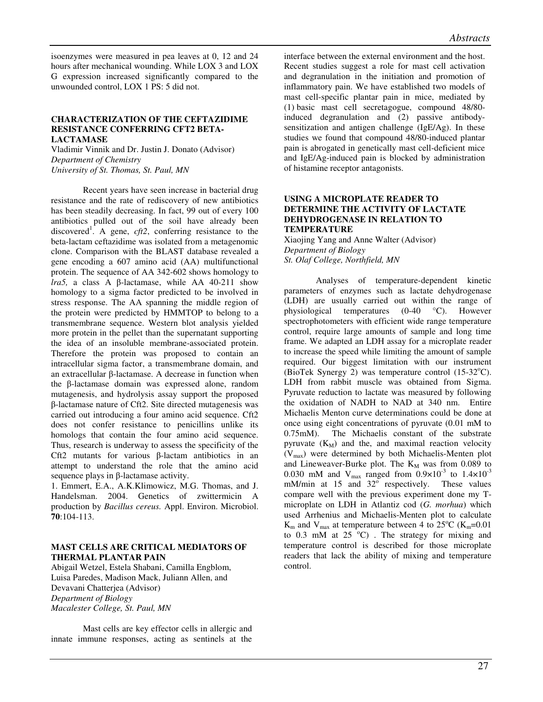isoenzymes were measured in pea leaves at 0, 12 and 24 hours after mechanical wounding. While LOX 3 and LOX G expression increased significantly compared to the unwounded control, LOX 1 PS: 5 did not.

#### **CHARACTERIZATION OF THE CEFTAZIDIME RESISTANCE CONFERRING CFT2 BETA-LACTAMASE**

Vladimir Vinnik and Dr. Justin J. Donato (Advisor) *Department of Chemistry University of St. Thomas, St. Paul, MN* 

Recent years have seen increase in bacterial drug resistance and the rate of rediscovery of new antibiotics has been steadily decreasing. In fact, 99 out of every 100 antibiotics pulled out of the soil have already been discovered<sup>1</sup>. A gene,  $cft2$ , conferring resistance to the beta-lactam ceftazidime was isolated from a metagenomic clone. Comparison with the BLAST database revealed a gene encoding a 607 amino acid (AA) multifunctional protein. The sequence of AA 342-602 shows homology to *lra5,* a class A β-lactamase, while AA 40-211 show homology to a sigma factor predicted to be involved in stress response. The AA spanning the middle region of the protein were predicted by HMMTOP to belong to a transmembrane sequence. Western blot analysis yielded more protein in the pellet than the supernatant supporting the idea of an insoluble membrane-associated protein. Therefore the protein was proposed to contain an intracellular sigma factor, a transmembrane domain, and an extracellular β-lactamase. A decrease in function when the β-lactamase domain was expressed alone, random mutagenesis, and hydrolysis assay support the proposed β-lactamase nature of Cft2. Site directed mutagenesis was carried out introducing a four amino acid sequence. Cft2 does not confer resistance to penicillins unlike its homologs that contain the four amino acid sequence. Thus, research is underway to assess the specificity of the Cft2 mutants for various β-lactam antibiotics in an attempt to understand the role that the amino acid sequence plays in β-lactamase activity.

1. Emmert, E.A., A.K.Klimowicz, M.G. Thomas, and J. Handelsman. 2004. Genetics of zwittermicin A production by *Bacillus cereus.* Appl. Environ. Microbiol. **70**:104-113.

# **MAST CELLS ARE CRITICAL MEDIATORS OF THERMAL PLANTAR PAIN**

Abigail Wetzel, Estela Shabani, Camilla Engblom, Luisa Paredes, Madison Mack, Juliann Allen, and Devavani Chatterjea (Advisor) *Department of Biology Macalester College, St. Paul, MN* 

Mast cells are key effector cells in allergic and innate immune responses, acting as sentinels at the

interface between the external environment and the host. Recent studies suggest a role for mast cell activation and degranulation in the initiation and promotion of inflammatory pain. We have established two models of mast cell-specific plantar pain in mice, mediated by (1) basic mast cell secretagogue, compound 48/80 induced degranulation and (2) passive antibodysensitization and antigen challenge (IgE/Ag). In these studies we found that compound 48/80-induced plantar pain is abrogated in genetically mast cell-deficient mice and IgE/Ag-induced pain is blocked by administration of histamine receptor antagonists.

# **USING A MICROPLATE READER TO DETERMINE THE ACTIVITY OF LACTATE DEHYDROGENASE IN RELATION TO TEMPERATURE**

Xiaojing Yang and Anne Walter (Advisor) *Department of Biology St. Olaf College, Northfield, MN*

Analyses of temperature-dependent kinetic parameters of enzymes such as lactate dehydrogenase (LDH) are usually carried out within the range of physiological temperatures (0-40 °C). However spectrophotometers with efficient wide range temperature control, require large amounts of sample and long time frame. We adapted an LDH assay for a microplate reader to increase the speed while limiting the amount of sample required. Our biggest limitation with our instrument (BioTek Synergy 2) was temperature control  $(15-32^{\circ}C)$ . LDH from rabbit muscle was obtained from Sigma. Pyruvate reduction to lactate was measured by following the oxidation of NADH to NAD at 340 nm. Entire Michaelis Menton curve determinations could be done at once using eight concentrations of pyruvate (0.01 mM to 0.75mM). The Michaelis constant of the substrate pyruvate  $(K_M)$  and the, and maximal reaction velocity  $(V<sub>max</sub>)$  were determined by both Michaelis-Menten plot and Lineweaver-Burke plot. The  $K_M$  was from 0.089 to 0.030 mM and  $V_{\text{max}}$  ranged from  $0.9 \times 10^{-3}$  to  $1.4 \times 10^{-3}$ mM/min at 15 and  $32^{\circ}$  respectively. These values compare well with the previous experiment done my Tmicroplate on LDH in Atlantiz cod (*G. morhua*) which used Arrhenius and Michaelis-Menten plot to calculate  $K_m$  and  $V_{max}$  at temperature between 4 to 25<sup>o</sup>C ( $K_m$ =0.01 to  $0.3$  mM at  $25^{\circ}$ C). The strategy for mixing and temperature control is described for those microplate readers that lack the ability of mixing and temperature control.